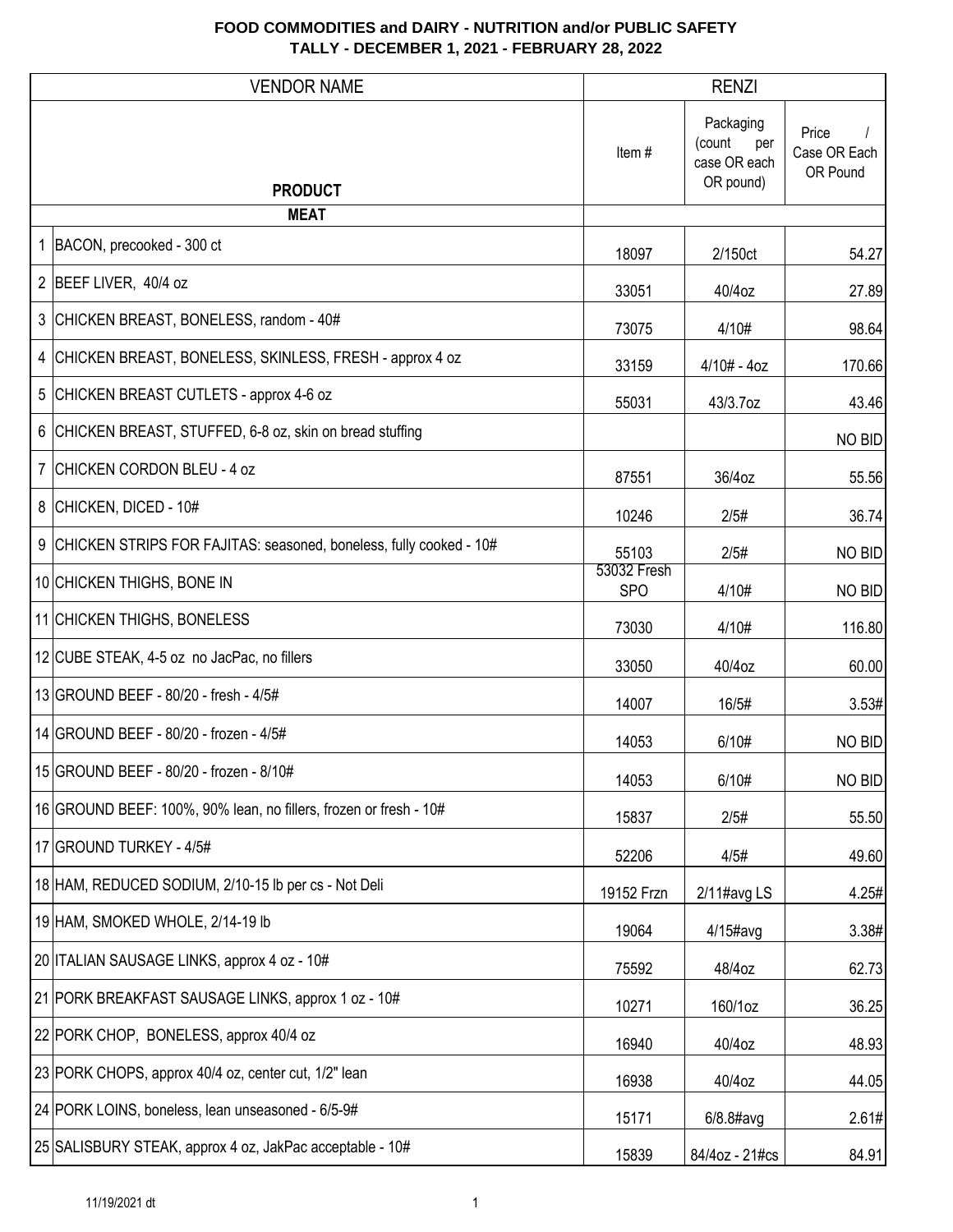|   | <b>VENDOR NAME</b>                                                 |                           | <b>RENZI</b>                                            |                                   |
|---|--------------------------------------------------------------------|---------------------------|---------------------------------------------------------|-----------------------------------|
|   |                                                                    | Item#                     | Packaging<br>(count<br>per<br>case OR each<br>OR pound) | Price<br>Case OR Each<br>OR Pound |
|   | <b>PRODUCT</b><br><b>MEAT</b>                                      |                           |                                                         |                                   |
|   | 1 BACON, precooked - 300 ct                                        | 18097                     | 2/150ct                                                 | 54.27                             |
|   | 2 BEEF LIVER, 40/4 oz                                              | 33051                     | 40/4oz                                                  | 27.89                             |
|   | 3 CHICKEN BREAST, BONELESS, random - 40#                           | 73075                     | 4/10#                                                   | 98.64                             |
| 4 | CHICKEN BREAST, BONELESS, SKINLESS, FRESH - approx 4 oz            | 33159                     | $4/10# - 4oz$                                           | 170.66                            |
| 5 | CHICKEN BREAST CUTLETS - approx 4-6 oz                             | 55031                     | 43/3.7oz                                                | 43.46                             |
| 6 | CHICKEN BREAST, STUFFED, 6-8 oz, skin on bread stuffing            |                           |                                                         | NO BID                            |
|   | 7 CHICKEN CORDON BLEU - 4 oz                                       | 87551                     | 36/4oz                                                  | 55.56                             |
|   | 8 CHICKEN, DICED - 10#                                             | 10246                     | 2/5#                                                    | 36.74                             |
| 9 | CHICKEN STRIPS FOR FAJITAS: seasoned, boneless, fully cooked - 10# | 55103                     | 2/5#                                                    | NO BID                            |
|   | 10 CHICKEN THIGHS, BONE IN                                         | 53032 Fresh<br><b>SPO</b> | 4/10#                                                   | NO BID                            |
|   | 11 CHICKEN THIGHS, BONELESS                                        | 73030                     | 4/10#                                                   | 116.80                            |
|   | 12 CUBE STEAK, 4-5 oz no JacPac, no fillers                        | 33050                     | 40/4oz                                                  | 60.00                             |
|   | 13 GROUND BEEF - 80/20 - fresh - 4/5#                              | 14007                     | 16/5#                                                   | 3.53#                             |
|   | 14 GROUND BEEF - 80/20 - frozen - 4/5#                             | 14053                     | 6/10#                                                   | NO BID                            |
|   | 15 GROUND BEEF - 80/20 - frozen - 8/10#                            | 14053                     | 6/10#                                                   | NO BID                            |
|   | 16 GROUND BEEF: 100%, 90% lean, no fillers, frozen or fresh - 10#  | 15837                     | 2/5#                                                    | 55.50                             |
|   | 17 GROUND TURKEY - 4/5#                                            | 52206                     | 4/5#                                                    | 49.60                             |
|   | 18 HAM, REDUCED SODIUM, 2/10-15 lb per cs - Not Deli               | 19152 Frzn                | 2/11#avg LS                                             | 4.25#                             |
|   | 19 HAM, SMOKED WHOLE, 2/14-19 lb                                   | 19064                     | 4/15#avg                                                | 3.38#                             |
|   | 20 ITALIAN SAUSAGE LINKS, approx 4 oz - 10#                        | 75592                     | 48/4oz                                                  | 62.73                             |
|   | 21 PORK BREAKFAST SAUSAGE LINKS, approx 1 oz - 10#                 | 10271                     | 160/1oz                                                 | 36.25                             |
|   | 22 PORK CHOP, BONELESS, approx 40/4 oz                             | 16940                     | 40/4oz                                                  | 48.93                             |
|   | 23 PORK CHOPS, approx 40/4 oz, center cut, 1/2" lean               | 16938                     | 40/4oz                                                  | 44.05                             |
|   | 24 PORK LOINS, boneless, lean unseasoned - 6/5-9#                  | 15171                     | 6/8.8#avg                                               | 2.61#                             |
|   | 25 SALISBURY STEAK, approx 4 oz, JakPac acceptable - 10#           | 15839                     | 84/4oz - 21#cs                                          | 84.91                             |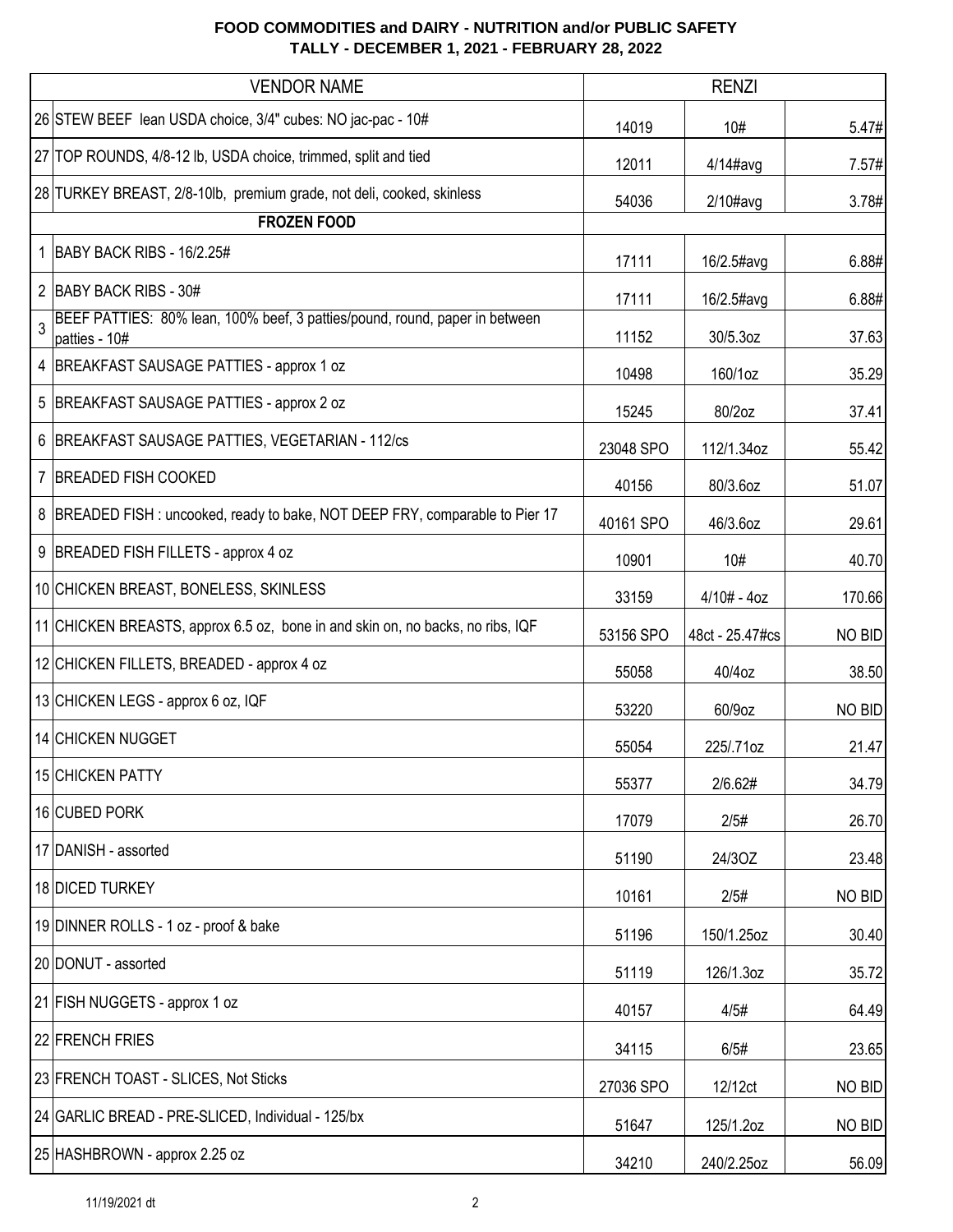|    | <b>VENDOR NAME</b>                                                                           |           | <b>RENZI</b>    |        |
|----|----------------------------------------------------------------------------------------------|-----------|-----------------|--------|
|    | 26 STEW BEEF lean USDA choice, 3/4" cubes: NO jac-pac - 10#                                  | 14019     | 10#             | 5.47#  |
|    | 27 TOP ROUNDS, 4/8-12 lb, USDA choice, trimmed, split and tied                               | 12011     | $4/14$ #avg     | 7.57#  |
|    | 28 TURKEY BREAST, 2/8-10lb, premium grade, not deli, cooked, skinless                        | 54036     | $2/10\#avg$     | 3.78#  |
|    | <b>FROZEN FOOD</b>                                                                           |           |                 |        |
| 1. | BABY BACK RIBS - 16/2.25#                                                                    | 17111     | 16/2.5#avg      | 6.88#  |
|    | 2 BABY BACK RIBS - 30#                                                                       | 17111     | 16/2.5#avg      | 6.88#  |
| 3  | BEEF PATTIES: 80% lean, 100% beef, 3 patties/pound, round, paper in between<br>patties - 10# | 11152     | 30/5.3oz        | 37.63  |
|    | 4 BREAKFAST SAUSAGE PATTIES - approx 1 oz                                                    | 10498     | 160/1oz         | 35.29  |
|    | 5 BREAKFAST SAUSAGE PATTIES - approx 2 oz                                                    | 15245     | 80/2oz          | 37.41  |
|    | 6 BREAKFAST SAUSAGE PATTIES, VEGETARIAN - 112/cs                                             | 23048 SPO | 112/1.34oz      | 55.42  |
|    | 7 BREADED FISH COOKED                                                                        | 40156     | 80/3.6oz        | 51.07  |
|    | 8   BREADED FISH : uncooked, ready to bake, NOT DEEP FRY, comparable to Pier 17              | 40161 SPO | 46/3.6oz        | 29.61  |
|    | 9 BREADED FISH FILLETS - approx 4 oz                                                         | 10901     | 10#             | 40.70  |
|    | 10 CHICKEN BREAST, BONELESS, SKINLESS                                                        | 33159     | $4/10# - 4oz$   | 170.66 |
|    | 11 CHICKEN BREASTS, approx 6.5 oz, bone in and skin on, no backs, no ribs, IQF               | 53156 SPO | 48ct - 25.47#cs | NO BID |
|    | 12 CHICKEN FILLETS, BREADED - approx 4 oz                                                    | 55058     | 40/4oz          | 38.50  |
|    | 13 CHICKEN LEGS - approx 6 oz, IQF                                                           | 53220     | 60/9oz          | NO BID |
|    | 14 CHICKEN NUGGET                                                                            | 55054     | 225/.71oz       | 21.47  |
|    | 15 CHICKEN PATTY                                                                             | 55377     | 2/6.62#         | 34.79  |
|    | 16 CUBED PORK                                                                                | 17079     | 2/5#            | 26.70  |
|    | 17 DANISH - assorted                                                                         | 51190     | 24/3OZ          | 23.48  |
|    | 18 DICED TURKEY                                                                              | 10161     | 2/5#            | NO BID |
|    | 19 DINNER ROLLS - 1 oz - proof & bake                                                        | 51196     | 150/1.25oz      | 30.40  |
|    | 20 DONUT - assorted                                                                          | 51119     | 126/1.3oz       | 35.72  |
|    | 21 FISH NUGGETS - approx 1 oz                                                                | 40157     | 4/5#            | 64.49  |
|    | 22 FRENCH FRIES                                                                              | 34115     | 6/5#            | 23.65  |
|    | 23 FRENCH TOAST - SLICES, Not Sticks                                                         | 27036 SPO | 12/12ct         | NO BID |
|    | 24 GARLIC BREAD - PRE-SLICED, Individual - 125/bx                                            | 51647     | 125/1.2oz       | NO BID |
|    | 25 HASHBROWN - approx 2.25 oz                                                                | 34210     | 240/2.25oz      | 56.09  |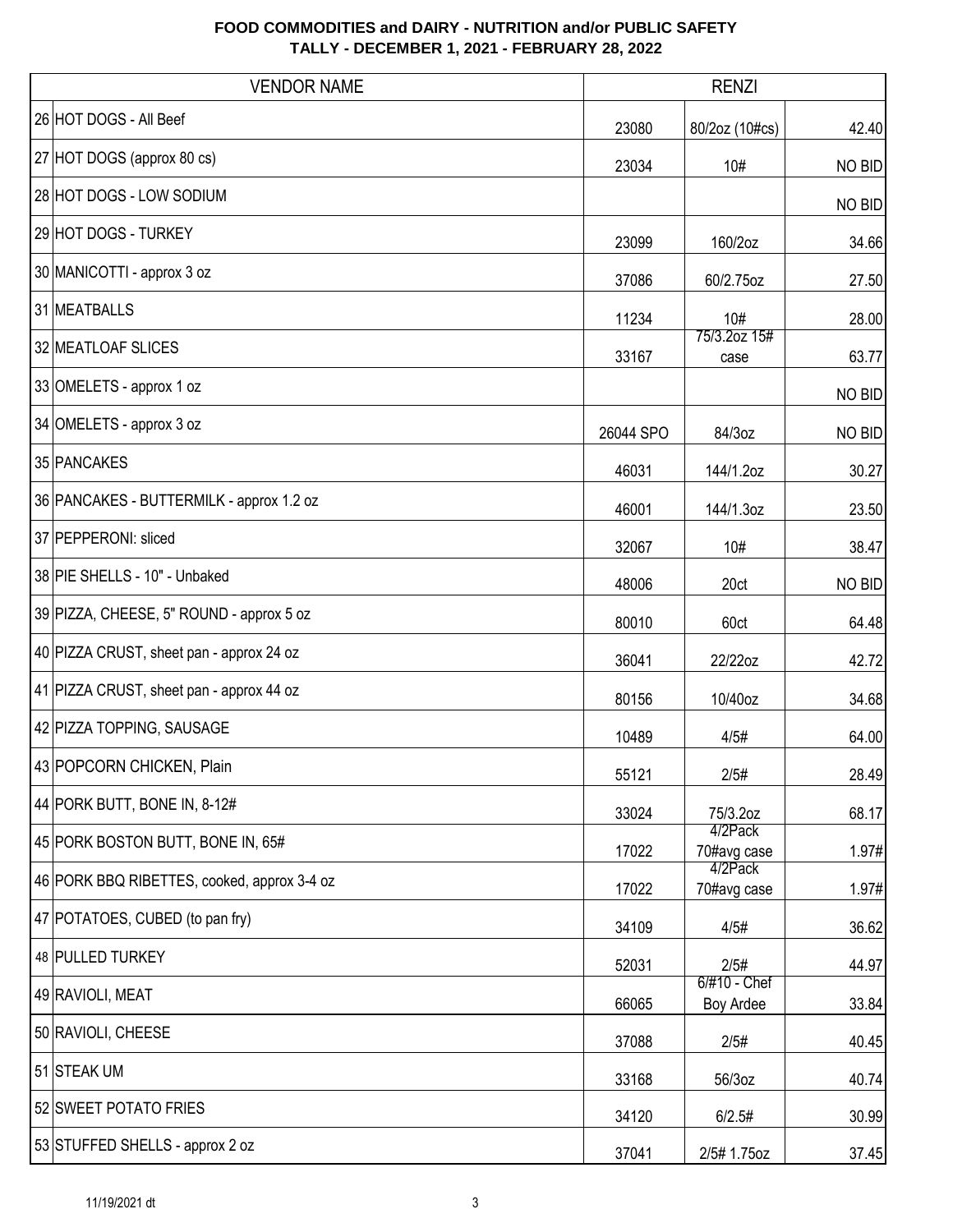| <b>VENDOR NAME</b>                          |           | <b>RENZI</b>              |        |
|---------------------------------------------|-----------|---------------------------|--------|
| 26 HOT DOGS - All Beef                      | 23080     | 80/2oz (10#cs)            | 42.40  |
| 27 HOT DOGS (approx 80 cs)                  | 23034     | 10#                       | NO BID |
| 28 HOT DOGS - LOW SODIUM                    |           |                           | NO BID |
| 29 HOT DOGS - TURKEY                        | 23099     | 160/2oz                   | 34.66  |
| 30 MANICOTTI - approx 3 oz                  | 37086     | 60/2.75oz                 | 27.50  |
| 31 MEATBALLS                                | 11234     | 10#                       | 28.00  |
| 32 MEATLOAF SLICES                          | 33167     | 75/3.2oz 15#<br>case      | 63.77  |
| 33 OMELETS - approx 1 oz                    |           |                           | NO BID |
| 34 OMELETS - approx 3 oz                    | 26044 SPO | 84/3oz                    | NO BID |
| 35 PANCAKES                                 | 46031     | 144/1.2oz                 | 30.27  |
| 36 PANCAKES - BUTTERMILK - approx 1.2 oz    | 46001     | 144/1.3oz                 | 23.50  |
| 37 PEPPERONI: sliced                        | 32067     | 10#                       | 38.47  |
| 38 PIE SHELLS - 10" - Unbaked               | 48006     | 20ct                      | NO BID |
| 39 PIZZA, CHEESE, 5" ROUND - approx 5 oz    | 80010     | 60ct                      | 64.48  |
| 40 PIZZA CRUST, sheet pan - approx 24 oz    | 36041     | 22/22oz                   | 42.72  |
| 41 PIZZA CRUST, sheet pan - approx 44 oz    | 80156     | 10/40oz                   | 34.68  |
| 42 PIZZA TOPPING, SAUSAGE                   | 10489     | 4/5#                      | 64.00  |
| 43 POPCORN CHICKEN, Plain                   | 55121     | 2/5#                      | 28.49  |
| 44 PORK BUTT, BONE IN, 8-12#                | 33024     | 75/3.2oz                  | 68.17  |
| 45 PORK BOSTON BUTT, BONE IN, 65#           | 17022     | 4/2Pack<br>70#avg case    | 1.97#  |
| 46 PORK BBQ RIBETTES, cooked, approx 3-4 oz | 17022     | 4/2Pack<br>70#avg case    | 1.97#  |
| 47 POTATOES, CUBED (to pan fry)             | 34109     | 4/5#                      | 36.62  |
| 48 PULLED TURKEY                            | 52031     | 2/5#                      | 44.97  |
| 49 RAVIOLI, MEAT                            | 66065     | 6/#10 - Chef<br>Boy Ardee | 33.84  |
| 50 RAVIOLI, CHEESE                          | 37088     | 2/5#                      | 40.45  |
| 51 STEAK UM                                 | 33168     | 56/3oz                    | 40.74  |
| 52 SWEET POTATO FRIES                       | 34120     | 6/2.5#                    | 30.99  |
| 53 STUFFED SHELLS - approx 2 oz             | 37041     | 2/5# 1.75oz               | 37.45  |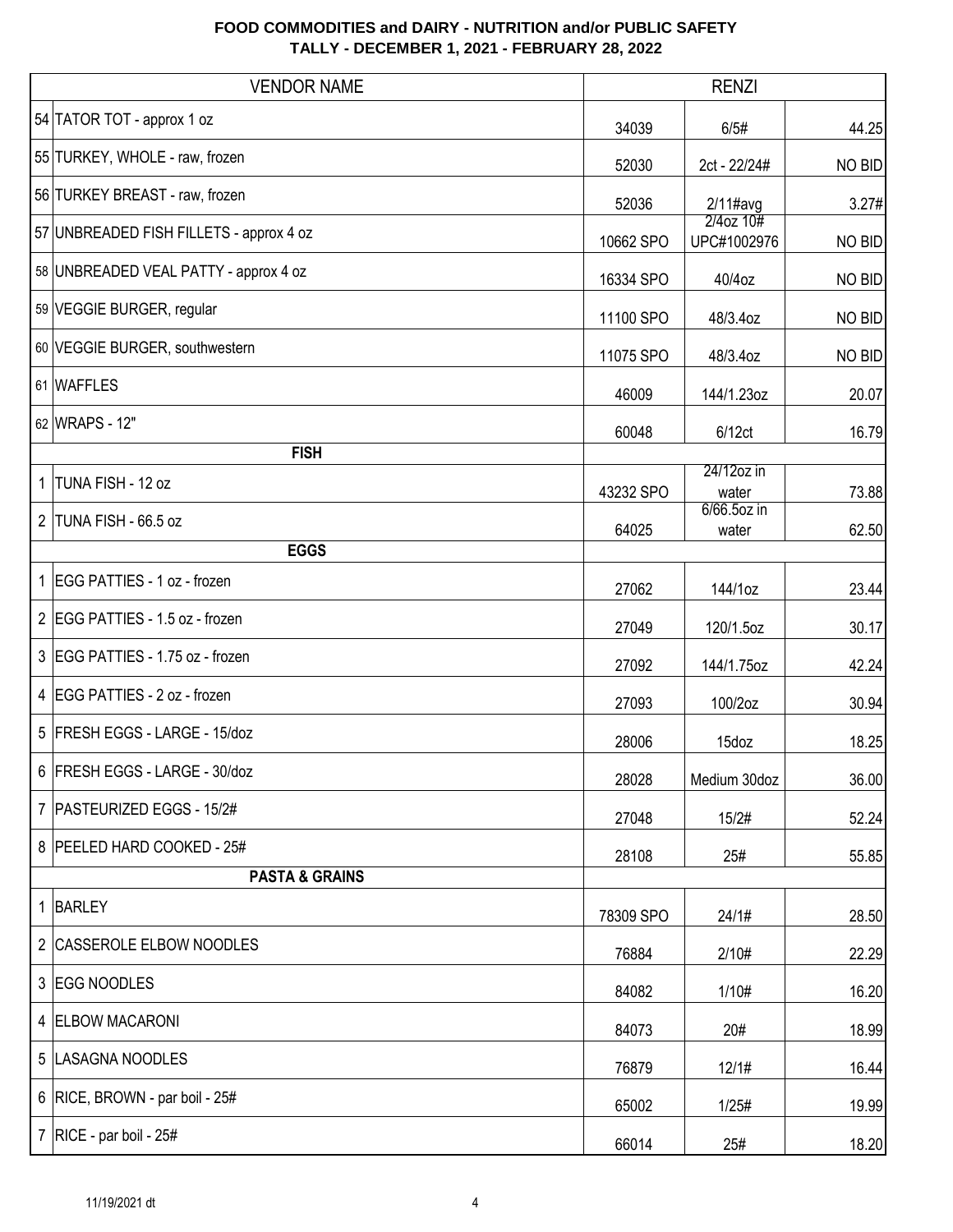|              | <b>VENDOR NAME</b>                      |           | <b>RENZI</b>                  |               |
|--------------|-----------------------------------------|-----------|-------------------------------|---------------|
|              | 54 TATOR TOT - approx 1 oz              | 34039     | 6/5#                          | 44.25         |
|              | 55 TURKEY, WHOLE - raw, frozen          | 52030     | 2ct - 22/24#                  | NO BID        |
|              | 56 TURKEY BREAST - raw, frozen          | 52036     | $2/11$ #avg                   | 3.27#         |
|              | 57 UNBREADED FISH FILLETS - approx 4 oz | 10662 SPO | $2/4$ oz $10#$<br>UPC#1002976 | <b>NO BID</b> |
|              | 58 UNBREADED VEAL PATTY - approx 4 oz   | 16334 SPO | 40/4oz                        | NO BID        |
|              | 59 VEGGIE BURGER, regular               | 11100 SPO | 48/3.4oz                      | NO BID        |
|              | 60 VEGGIE BURGER, southwestern          | 11075 SPO | 48/3.4oz                      | NO BID        |
|              | 61 WAFFLES                              | 46009     | 144/1.23oz                    | 20.07         |
|              | 62 WRAPS - 12"                          | 60048     | 6/12ct                        | 16.79         |
|              | <b>FISH</b>                             |           |                               |               |
| $\mathbf{1}$ | TUNA FISH - 12 oz                       | 43232 SPO | 24/12oz in<br>water           | 73.88         |
| 2            | TUNA FISH - 66.5 oz                     | 64025     | 6/66.5oz in<br>water          | 62.50         |
| <b>EGGS</b>  |                                         |           |                               |               |
|              | 1 EGG PATTIES - 1 oz - frozen           | 27062     | 144/1oz                       | 23.44         |
|              | 2 EGG PATTIES - 1.5 oz - frozen         | 27049     | 120/1.5oz                     | 30.17         |
|              | 3 EGG PATTIES - 1.75 oz - frozen        | 27092     | 144/1.75oz                    | 42.24         |
|              | 4 EGG PATTIES - 2 oz - frozen           | 27093     | 100/2oz                       | 30.94         |
|              | 5 FRESH EGGS - LARGE - 15/doz           | 28006     | 15doz                         | 18.25         |
|              | 6 FRESH EGGS - LARGE - 30/doz           | 28028     | Medium 30doz                  | 36.00         |
|              | 7 PASTEURIZED EGGS - 15/2#              | 27048     | 15/2#                         | 52.24         |
|              | 8   PEELED HARD COOKED - 25#            | 28108     | 25#                           | 55.85         |
|              | <b>PASTA &amp; GRAINS</b>               |           |                               |               |
|              | 1 BARLEY                                | 78309 SPO | 24/1#                         | 28.50         |
|              | 2 CASSEROLE ELBOW NOODLES               | 76884     | 2/10#                         | 22.29         |
|              | 3 EGG NOODLES                           | 84082     | 1/10#                         | 16.20         |
|              | 4 ELBOW MACARONI                        | 84073     | 20#                           | 18.99         |
|              | 5  LASAGNA NOODLES                      | 76879     | 12/1#                         | 16.44         |
|              | 6 RICE, BROWN - par boil - 25#          | 65002     | 1/25#                         | 19.99         |
|              | 7   RICE - par boil - $25#$             | 66014     | 25#                           | 18.20         |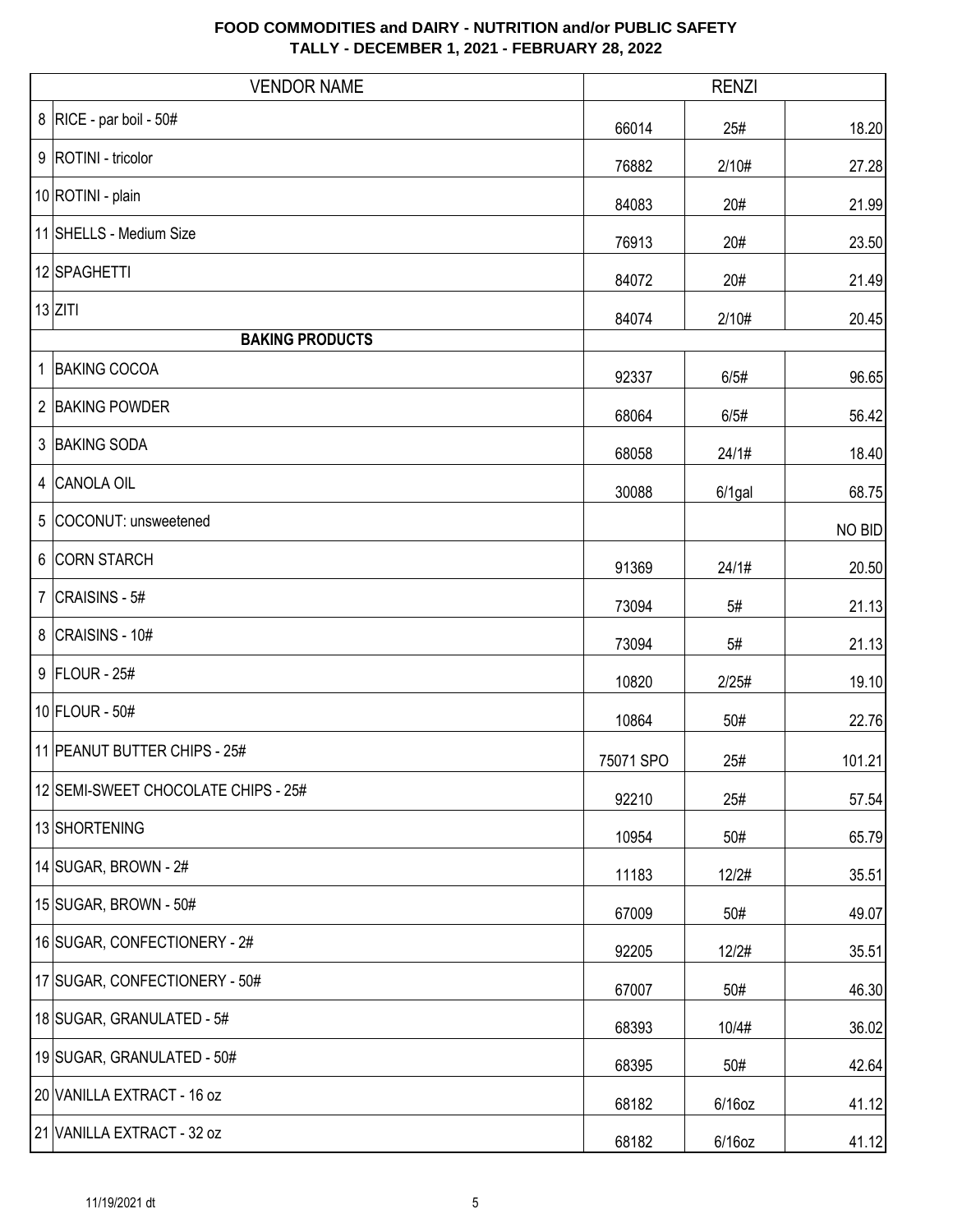| <b>VENDOR NAME</b>                  |           | <b>RENZI</b> |        |
|-------------------------------------|-----------|--------------|--------|
| 8   RICE - par boil - $50#$         | 66014     | 25#          | 18.20  |
| 9   ROTINI - tricolor               | 76882     | 2/10#        | 27.28  |
| 10 ROTINI - plain                   | 84083     | 20#          | 21.99  |
| 11 SHELLS - Medium Size             | 76913     | 20#          | 23.50  |
| 12 SPAGHETTI                        | 84072     | 20#          | 21.49  |
| $13$ ZITI                           | 84074     | 2/10#        | 20.45  |
| <b>BAKING PRODUCTS</b>              |           |              |        |
| 1 BAKING COCOA                      | 92337     | 6/5#         | 96.65  |
| 2 BAKING POWDER                     | 68064     | 6/5#         | 56.42  |
| 3 BAKING SODA                       | 68058     | 24/1#        | 18.40  |
| 4 CANOLA OIL                        | 30088     | $6/1$ gal    | 68.75  |
| 5 COCONUT: unsweetened              |           |              | NO BID |
| 6 CORN STARCH                       | 91369     | 24/1#        | 20.50  |
| 7 $ CRAISINS - 5#$                  | 73094     | 5#           | 21.13  |
| 8 CRAISINS - 10#                    | 73094     | 5#           | 21.13  |
| 9 FLOUR - 25#                       | 10820     | 2/25#        | 19.10  |
| 10 FLOUR - 50#                      | 10864     | 50#          | 22.76  |
| 11 PEANUT BUTTER CHIPS - 25#        | 75071 SPO | 25#          | 101.21 |
| 12 SEMI-SWEET CHOCOLATE CHIPS - 25# | 92210     | 25#          | 57.54  |
| 13 SHORTENING                       | 10954     | 50#          | 65.79  |
| 14 SUGAR, BROWN - 2#                | 11183     | 12/2#        | 35.51  |
| 15 SUGAR, BROWN - 50#               | 67009     | 50#          | 49.07  |
| 16 SUGAR, CONFECTIONERY - 2#        | 92205     | 12/2#        | 35.51  |
| 17 SUGAR, CONFECTIONERY - 50#       | 67007     | 50#          | 46.30  |
| 18 SUGAR, GRANULATED - 5#           | 68393     | 10/4#        | 36.02  |
| 19 SUGAR, GRANULATED - 50#          | 68395     | 50#          | 42.64  |
| 20 VANILLA EXTRACT - 16 oz          | 68182     | $6/16$ oz    | 41.12  |
| 21 VANILLA EXTRACT - 32 oz          | 68182     | $6/16$ oz    | 41.12  |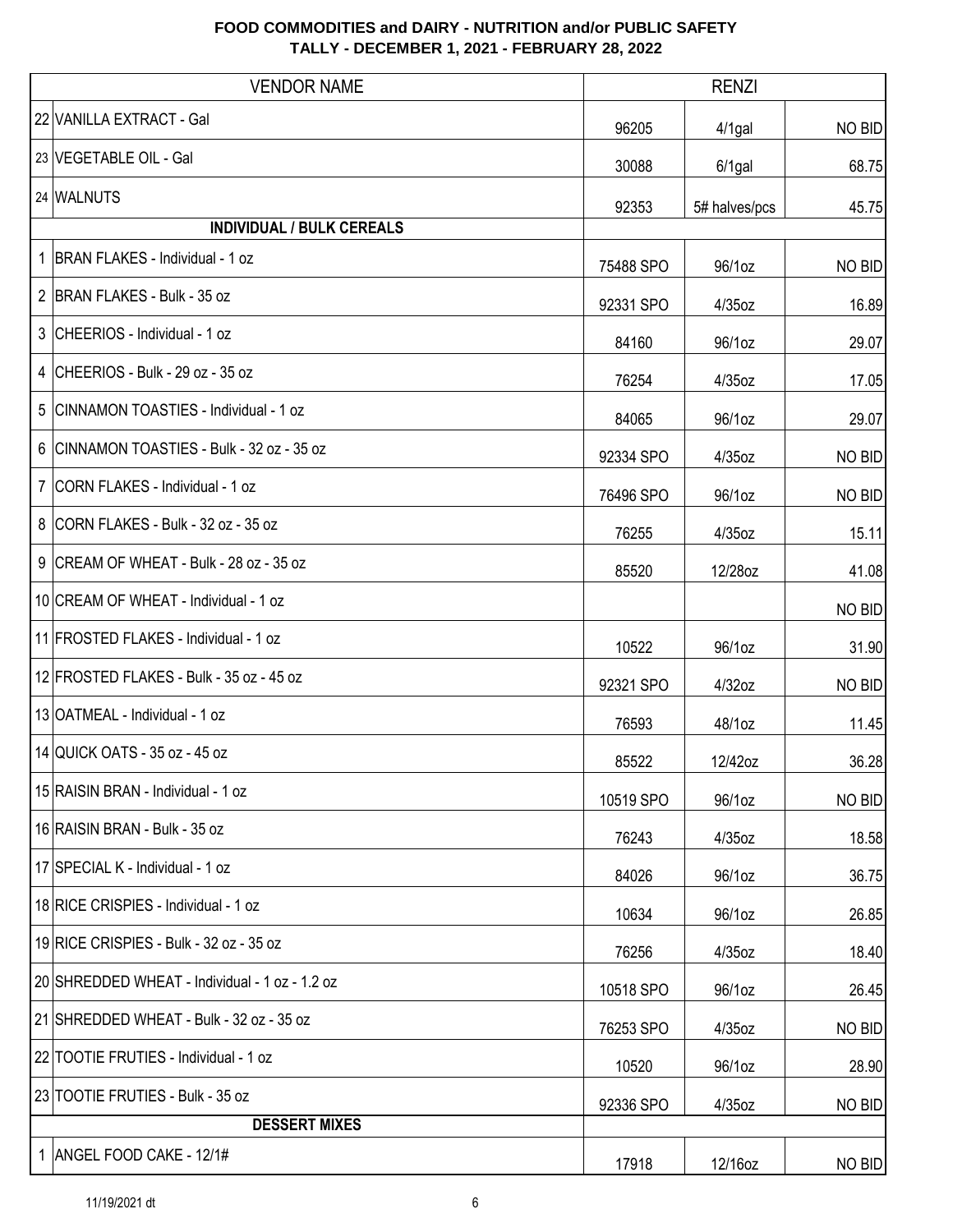| <b>VENDOR NAME</b>                             |           | <b>RENZI</b>  |        |
|------------------------------------------------|-----------|---------------|--------|
| 22 VANILLA EXTRACT - Gal                       | 96205     | $4/1$ gal     | NO BID |
| 23 VEGETABLE OIL - Gal                         | 30088     | $6/1$ gal     | 68.75  |
| 24 WALNUTS                                     | 92353     | 5# halves/pcs | 45.75  |
| <b>INDIVIDUAL / BULK CEREALS</b>               |           |               |        |
| 1   BRAN FLAKES - Individual - 1 oz            | 75488 SPO | 96/1oz        | NO BID |
| 2 BRAN FLAKES - Bulk - 35 oz                   | 92331 SPO | $4/35$ oz     | 16.89  |
| 3 CHEERIOS - Individual - 1 oz                 | 84160     | 96/1oz        | 29.07  |
| 4 CHEERIOS - Bulk - 29 oz - 35 oz              | 76254     | $4/35$ oz     | 17.05  |
| 5 CINNAMON TOASTIES - Individual - 1 oz        | 84065     | 96/1oz        | 29.07  |
| 6 CINNAMON TOASTIES - Bulk - 32 oz - 35 oz     | 92334 SPO | 4/35oz        | NO BID |
| 7 CORN FLAKES - Individual - 1 oz              | 76496 SPO | 96/1oz        | NO BID |
| 8 CORN FLAKES - Bulk - 32 oz - 35 oz           | 76255     | 4/35oz        | 15.11  |
| 9 CREAM OF WHEAT - Bulk - 28 oz - 35 oz        | 85520     | 12/28oz       | 41.08  |
| 10 CREAM OF WHEAT - Individual - 1 oz          |           |               | NO BID |
| 11 FROSTED FLAKES - Individual - 1 oz          | 10522     | 96/1oz        | 31.90  |
| 12 FROSTED FLAKES - Bulk - 35 oz - 45 oz       | 92321 SPO | 4/32oz        | NO BID |
| 13 OATMEAL - Individual - 1 oz                 | 76593     | 48/1oz        | 11.45  |
| 14 QUICK OATS - 35 oz - 45 oz                  | 85522     | 12/42oz       | 36.28  |
| 15 RAISIN BRAN - Individual - 1 oz             | 10519 SPO | 96/1oz        | NO BID |
| 16 RAISIN BRAN - Bulk - 35 oz                  | 76243     | $4/35$ oz     | 18.58  |
| 17 SPECIAL K - Individual - 1 oz               | 84026     | 96/1oz        | 36.75  |
| 18 RICE CRISPIES - Individual - 1 oz           | 10634     | 96/1oz        | 26.85  |
| 19 RICE CRISPIES - Bulk - 32 oz - 35 oz        | 76256     | 4/35oz        | 18.40  |
| 20 SHREDDED WHEAT - Individual - 1 oz - 1.2 oz | 10518 SPO | 96/1oz        | 26.45  |
| 21 SHREDDED WHEAT - Bulk - 32 oz - 35 oz       | 76253 SPO | $4/35$ oz     | NO BID |
| 22 TOOTIE FRUTIES - Individual - 1 oz          | 10520     | 96/1oz        | 28.90  |
| 23 TOOTIE FRUTIES - Bulk - 35 oz               | 92336 SPO | $4/35$ oz     | NO BID |
| <b>DESSERT MIXES</b>                           |           |               |        |
| 1 ANGEL FOOD CAKE - 12/1#                      | 17918     | 12/16oz       | NO BID |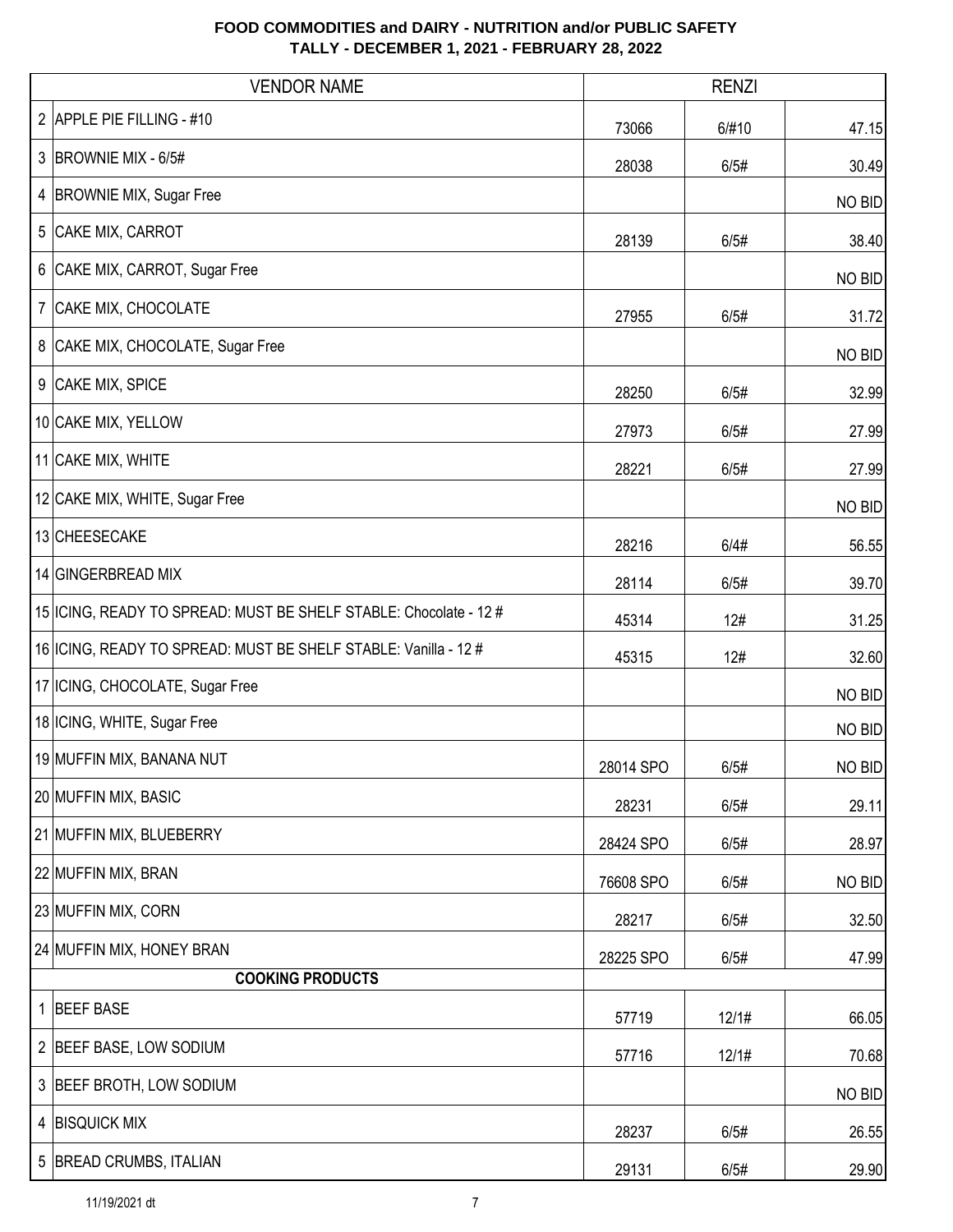| <b>VENDOR NAME</b>                                                  |           | <b>RENZI</b> |               |
|---------------------------------------------------------------------|-----------|--------------|---------------|
| 2 APPLE PIE FILLING - #10                                           | 73066     | 6/#10        | 47.15         |
| 3 BROWNIE MIX - 6/5#                                                | 28038     | 6/5#         | 30.49         |
| 4   BROWNIE MIX, Sugar Free                                         |           |              | NO BID        |
| 5 CAKE MIX, CARROT                                                  | 28139     | 6/5#         | 38.40         |
| 6 CAKE MIX, CARROT, Sugar Free                                      |           |              | NO BID        |
| 7   CAKE MIX, CHOCOLATE                                             | 27955     | 6/5#         | 31.72         |
| 8 CAKE MIX, CHOCOLATE, Sugar Free                                   |           |              | <b>NO BID</b> |
| 9 CAKE MIX, SPICE                                                   | 28250     | 6/5#         | 32.99         |
| 10 CAKE MIX, YELLOW                                                 | 27973     | 6/5#         | 27.99         |
| 11 CAKE MIX, WHITE                                                  | 28221     | 6/5#         | 27.99         |
| 12 CAKE MIX, WHITE, Sugar Free                                      |           |              | NO BID        |
| 13 CHEESECAKE                                                       | 28216     | 6/4#         | 56.55         |
| 14 GINGERBREAD MIX                                                  | 28114     | 6/5#         | 39.70         |
| 15   ICING, READY TO SPREAD: MUST BE SHELF STABLE: Chocolate - 12 # | 45314     | 12#          | 31.25         |
| 16   ICING, READY TO SPREAD: MUST BE SHELF STABLE: Vanilla - 12 #   | 45315     | 12#          | 32.60         |
| 17 ICING, CHOCOLATE, Sugar Free                                     |           |              | NO BID        |
| 18 ICING, WHITE, Sugar Free                                         |           |              | NO BID        |
| 19 MUFFIN MIX, BANANA NUT                                           | 28014 SPO | 6/5#         | NO BID        |
| 20 MUFFIN MIX, BASIC                                                | 28231     | 6/5#         | 29.11         |
| 21 MUFFIN MIX, BLUEBERRY                                            | 28424 SPO | 6/5#         | 28.97         |
| 22 MUFFIN MIX, BRAN                                                 | 76608 SPO | 6/5#         | NO BID        |
| 23 MUFFIN MIX, CORN                                                 | 28217     | 6/5#         | 32.50         |
| 24 MUFFIN MIX, HONEY BRAN                                           | 28225 SPO | 6/5#         | 47.99         |
| <b>COOKING PRODUCTS</b>                                             |           |              |               |
| 1 BEEF BASE                                                         | 57719     | 12/1#        | 66.05         |
| 2 BEEF BASE, LOW SODIUM                                             | 57716     | 12/1#        | 70.68         |
| 3 BEEF BROTH, LOW SODIUM                                            |           |              | NO BID        |
| 4 BISQUICK MIX                                                      | 28237     | 6/5#         | 26.55         |
| 5 BREAD CRUMBS, ITALIAN                                             | 29131     | 6/5#         | 29.90         |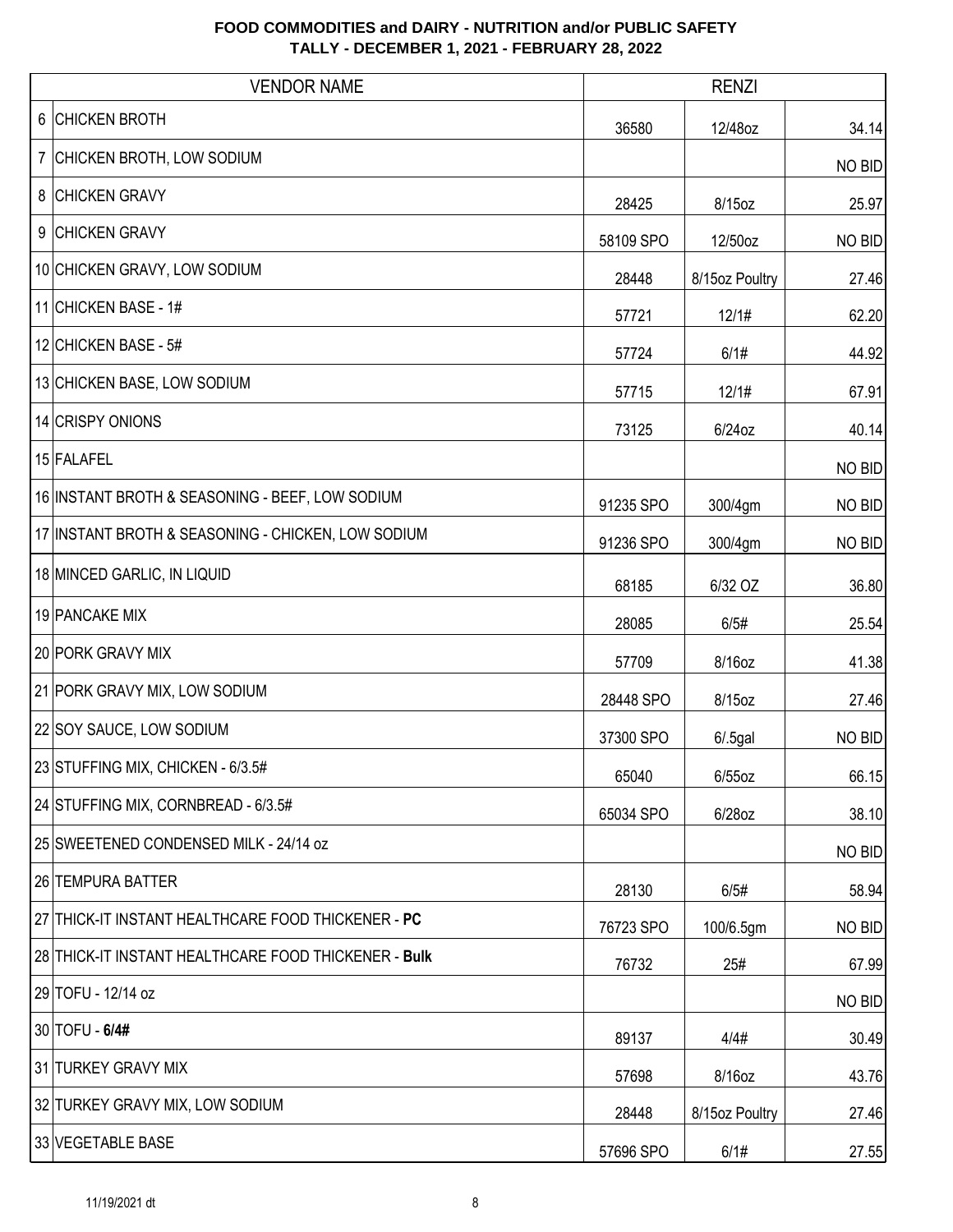| <b>VENDOR NAME</b>                                   | <b>RENZI</b> |                |        |
|------------------------------------------------------|--------------|----------------|--------|
| 6 CHICKEN BROTH                                      | 36580        | 12/48oz        | 34.14  |
| 7 CHICKEN BROTH, LOW SODIUM                          |              |                | NO BID |
| 8 CHICKEN GRAVY                                      | 28425        | 8/15oz         | 25.97  |
| 9 CHICKEN GRAVY                                      | 58109 SPO    | 12/50oz        | NO BID |
| 10 CHICKEN GRAVY, LOW SODIUM                         | 28448        | 8/15oz Poultry | 27.46  |
| 11 CHICKEN BASE - 1#                                 | 57721        | 12/1#          | 62.20  |
| 12 CHICKEN BASE - 5#                                 | 57724        | 6/1#           | 44.92  |
| 13 CHICKEN BASE, LOW SODIUM                          | 57715        | 12/1#          | 67.91  |
| 14 CRISPY ONIONS                                     | 73125        | 6/24oz         | 40.14  |
| 15 FALAFEL                                           |              |                | NO BID |
| 16 INSTANT BROTH & SEASONING - BEEF, LOW SODIUM      | 91235 SPO    | 300/4gm        | NO BID |
| 17 INSTANT BROTH & SEASONING - CHICKEN, LOW SODIUM   | 91236 SPO    | 300/4gm        | NO BID |
| 18 MINCED GARLIC, IN LIQUID                          | 68185        | 6/32 OZ        | 36.80  |
| 19 PANCAKE MIX                                       | 28085        | 6/5#           | 25.54  |
| 20 PORK GRAVY MIX                                    | 57709        | 8/16oz         | 41.38  |
| 21 PORK GRAVY MIX, LOW SODIUM                        | 28448 SPO    | 8/15oz         | 27.46  |
| 22 SOY SAUCE, LOW SODIUM                             | 37300 SPO    | $6/0.5$ gal    | NO BID |
| 23 STUFFING MIX, CHICKEN - 6/3.5#                    | 65040        | 6/55oz         | 66.15  |
| 24 STUFFING MIX, CORNBREAD - 6/3.5#                  | 65034 SPO    | 6/28oz         | 38.10  |
| 25 SWEETENED CONDENSED MILK - 24/14 oz               |              |                | NO BID |
| 26 TEMPURA BATTER                                    | 28130        | 6/5#           | 58.94  |
| 27 THICK-IT INSTANT HEALTHCARE FOOD THICKENER - PC   | 76723 SPO    | 100/6.5gm      | NO BID |
| 28 THICK-IT INSTANT HEALTHCARE FOOD THICKENER - Bulk | 76732        | 25#            | 67.99  |
| 29 TOFU - 12/14 oz                                   |              |                | NO BID |
| 30 TOFU - 6/4#                                       | 89137        | 4/4#           | 30.49  |
| 31 TURKEY GRAVY MIX                                  | 57698        | 8/16oz         | 43.76  |
| 32 TURKEY GRAVY MIX, LOW SODIUM                      | 28448        | 8/15oz Poultry | 27.46  |
| 33 VEGETABLE BASE                                    | 57696 SPO    | 6/1#           | 27.55  |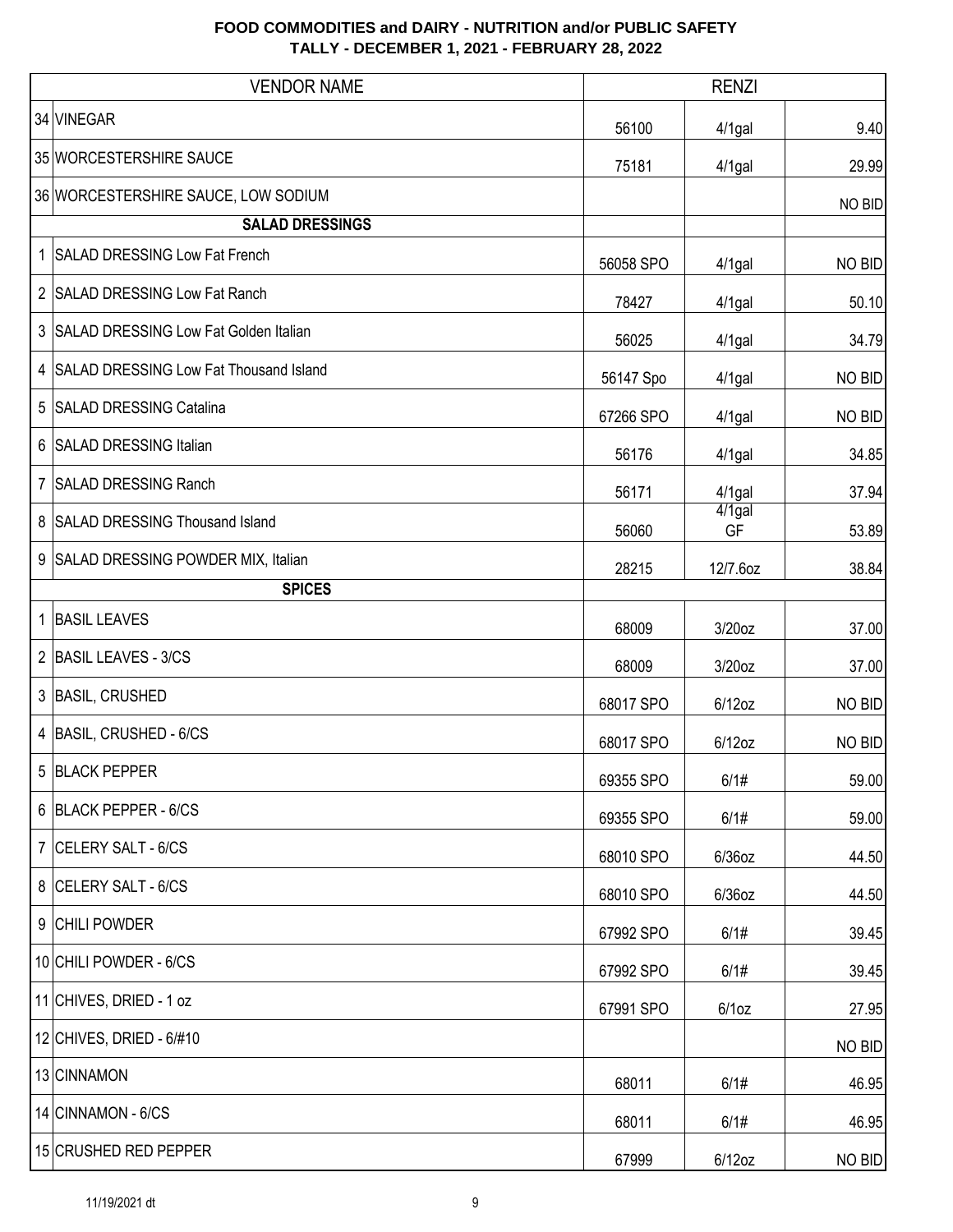|   | <b>VENDOR NAME</b>                     |           | <b>RENZI</b>    |        |
|---|----------------------------------------|-----------|-----------------|--------|
|   | 34 VINEGAR                             | 56100     | $4/1$ gal       | 9.40   |
|   | 35 WORCESTERSHIRE SAUCE                | 75181     | $4/1$ gal       | 29.99  |
|   | 36 WORCESTERSHIRE SAUCE, LOW SODIUM    |           |                 | NO BID |
|   | <b>SALAD DRESSINGS</b>                 |           |                 |        |
|   | 1 SALAD DRESSING Low Fat French        | 56058 SPO | $4/1$ gal       | NO BID |
|   | 2 SALAD DRESSING Low Fat Ranch         | 78427     | $4/1$ gal       | 50.10  |
| 3 | SALAD DRESSING Low Fat Golden Italian  | 56025     | 4/1gal          | 34.79  |
| 4 | SALAD DRESSING Low Fat Thousand Island | 56147 Spo | 4/1gal          | NO BID |
| 5 | <b>SALAD DRESSING Catalina</b>         | 67266 SPO | $4/1$ gal       | NO BID |
|   | 6 SALAD DRESSING Italian               | 56176     | $4/1$ gal       | 34.85  |
|   | 7 SALAD DRESSING Ranch                 | 56171     | $4/1$ gal       | 37.94  |
| 8 | <b>SALAD DRESSING Thousand Island</b>  | 56060     | $4/1$ gal<br>GF | 53.89  |
|   | 9 SALAD DRESSING POWDER MIX, Italian   | 28215     | 12/7.6oz        | 38.84  |
|   | <b>SPICES</b>                          |           |                 |        |
| 1 | <b>BASIL LEAVES</b>                    | 68009     | 3/20oz          | 37.00  |
|   | 2 BASIL LEAVES - 3/CS                  | 68009     | 3/20oz          | 37.00  |
|   | 3 BASIL, CRUSHED                       | 68017 SPO | $6/12$ oz       | NO BID |
| 4 | BASIL, CRUSHED - 6/CS                  | 68017 SPO | $6/12$ oz       | NO BID |
|   | 5 BLACK PEPPER                         | 69355 SPO | 6/1#            | 59.00  |
|   | 6 BLACK PEPPER - 6/CS                  | 69355 SPO | 6/1#            | 59.00  |
|   | 7 CELERY SALT - 6/CS                   | 68010 SPO | 6/36oz          | 44.50  |
|   | 8 CELERY SALT - 6/CS                   | 68010 SPO | $6/36$ oz       | 44.50  |
|   | 9 CHILI POWDER                         | 67992 SPO | 6/1#            | 39.45  |
|   | 10 CHILI POWDER - 6/CS                 | 67992 SPO | 6/1#            | 39.45  |
|   | 11 CHIVES, DRIED - 1 oz                | 67991 SPO | 6/1oz           | 27.95  |
|   | 12 CHIVES, DRIED - 6/#10               |           |                 | NO BID |
|   | 13 CINNAMON                            | 68011     | 6/1#            | 46.95  |
|   | 14 CINNAMON - 6/CS                     | 68011     | 6/1#            | 46.95  |
|   | 15 CRUSHED RED PEPPER                  | 67999     | $6/12$ oz       | NO BID |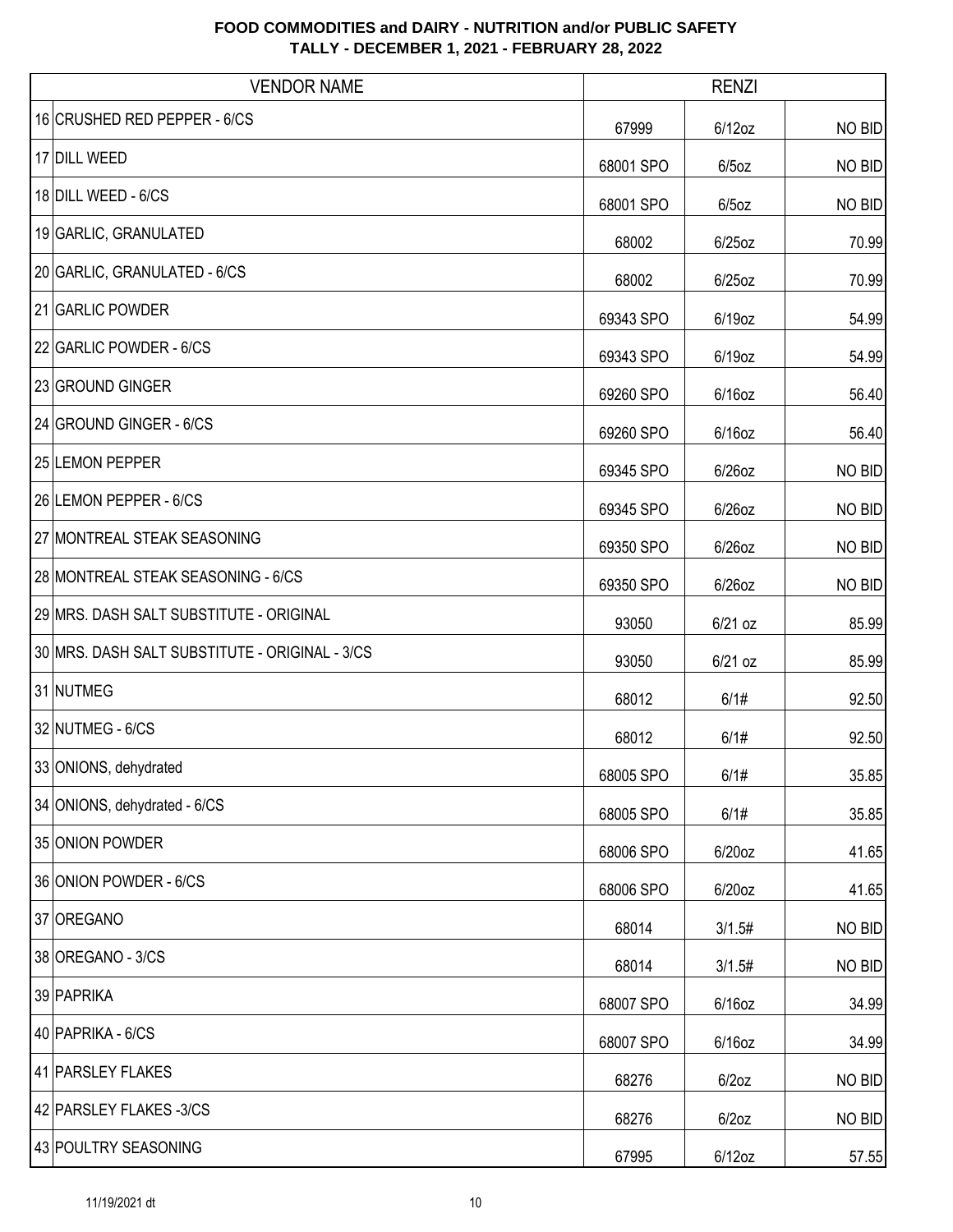| <b>VENDOR NAME</b>                             |           | <b>RENZI</b> |        |
|------------------------------------------------|-----------|--------------|--------|
| 16 CRUSHED RED PEPPER - 6/CS                   | 67999     | $6/12$ oz    | NO BID |
| 17 DILL WEED                                   | 68001 SPO | $6/5$ oz     | NO BID |
| 18 DILL WEED - 6/CS                            | 68001 SPO | $6/5$ oz     | NO BID |
| 19 GARLIC, GRANULATED                          | 68002     | $6/25$ oz    | 70.99  |
| 20 GARLIC, GRANULATED - 6/CS                   | 68002     | $6/25$ oz    | 70.99  |
| 21 GARLIC POWDER                               | 69343 SPO | 6/19oz       | 54.99  |
| 22 GARLIC POWDER - 6/CS                        | 69343 SPO | 6/19oz       | 54.99  |
| 23 GROUND GINGER                               | 69260 SPO | $6/16$ oz    | 56.40  |
| 24 GROUND GINGER - 6/CS                        | 69260 SPO | $6/16$ oz    | 56.40  |
| 25 LEMON PEPPER                                | 69345 SPO | 6/26oz       | NO BID |
| 26 LEMON PEPPER - 6/CS                         | 69345 SPO | 6/26oz       | NO BID |
| 27 MONTREAL STEAK SEASONING                    | 69350 SPO | 6/26oz       | NO BID |
| 28 MONTREAL STEAK SEASONING - 6/CS             | 69350 SPO | $6/26$ oz    | NO BID |
| 29 MRS. DASH SALT SUBSTITUTE - ORIGINAL        | 93050     | $6/21$ oz    | 85.99  |
| 30 MRS. DASH SALT SUBSTITUTE - ORIGINAL - 3/CS | 93050     | $6/21$ oz    | 85.99  |
| 31 NUTMEG                                      | 68012     | 6/1#         | 92.50  |
| 32 NUTMEG - 6/CS                               | 68012     | 6/1#         | 92.50  |
| 33 ONIONS, dehydrated                          | 68005 SPO | 6/1#         | 35.85  |
| 34 ONIONS, dehydrated - 6/CS                   | 68005 SPO | 6/1#         | 35.85  |
| 35 ONION POWDER                                | 68006 SPO | 6/20oz       | 41.65  |
| 36 ONION POWDER - 6/CS                         | 68006 SPO | 6/20oz       | 41.65  |
| 37 OREGANO                                     | 68014     | 3/1.5#       | NO BID |
| 38 OREGANO - 3/CS                              | 68014     | 3/1.5#       | NO BID |
| 39 PAPRIKA                                     | 68007 SPO | 6/16oz       | 34.99  |
| 40 PAPRIKA - 6/CS                              | 68007 SPO | $6/16$ oz    | 34.99  |
| 41 PARSLEY FLAKES                              | 68276     | $6/2$ oz     | NO BID |
| 42 PARSLEY FLAKES -3/CS                        | 68276     | $6/2$ oz     | NO BID |
| 43 POULTRY SEASONING                           | 67995     | $6/12$ oz    | 57.55  |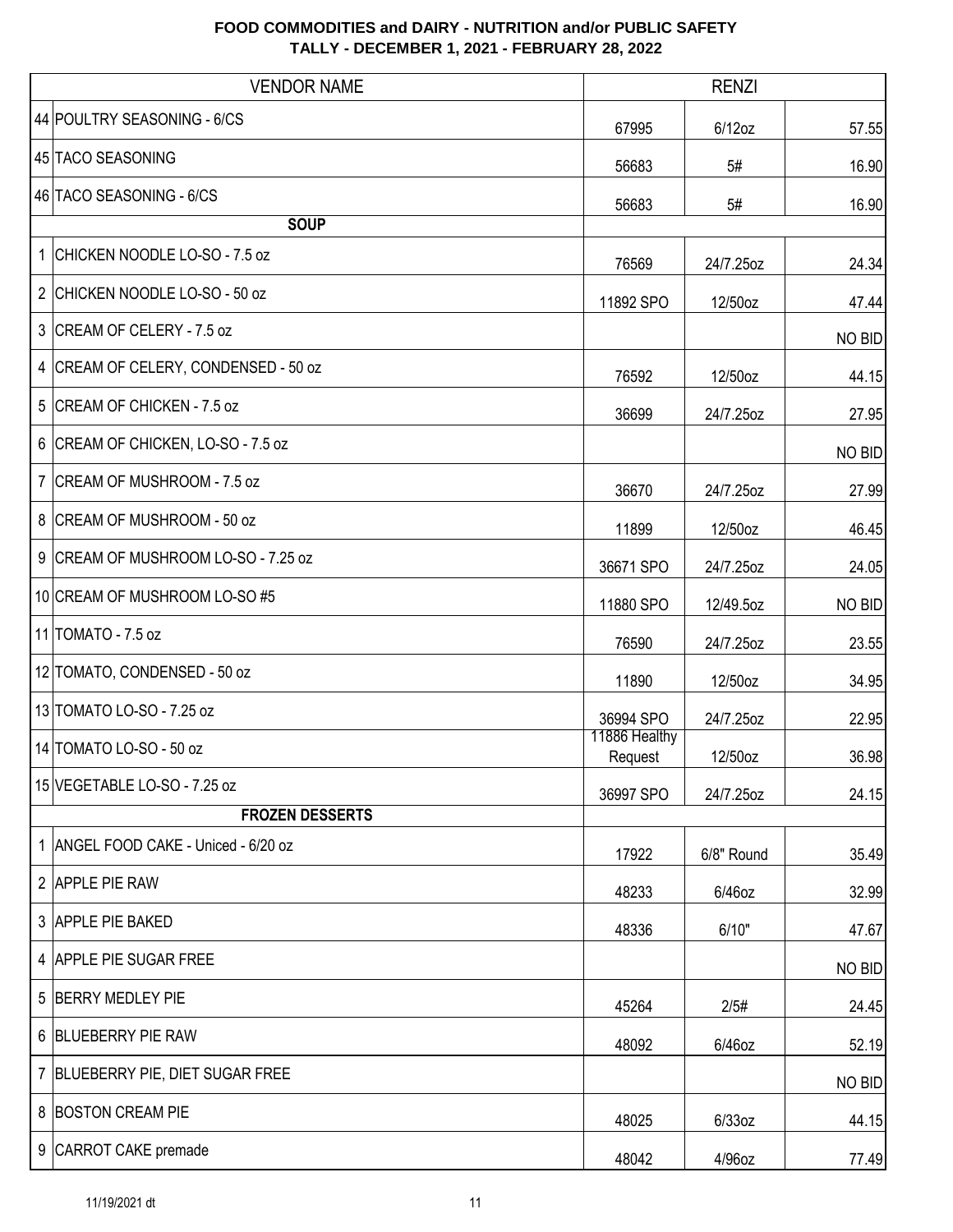|    | <b>VENDOR NAME</b>                   |                          | <b>RENZI</b> |        |
|----|--------------------------------------|--------------------------|--------------|--------|
|    | 44 POULTRY SEASONING - 6/CS          | 67995                    | $6/12$ oz    | 57.55  |
|    | 45 TACO SEASONING                    | 56683                    | 5#           | 16.90  |
|    | 46 TACO SEASONING - 6/CS             | 56683                    | 5#           | 16.90  |
|    | <b>SOUP</b>                          |                          |              |        |
| 1. | CHICKEN NOODLE LO-SO - 7.5 oz        | 76569                    | 24/7.25oz    | 24.34  |
|    | 2 CHICKEN NOODLE LO-SO - 50 oz       | 11892 SPO                | 12/50oz      | 47.44  |
|    | 3 CREAM OF CELERY - 7.5 oz           |                          |              | NO BID |
|    | 4 CREAM OF CELERY, CONDENSED - 50 oz | 76592                    | 12/50oz      | 44.15  |
| 5  | CREAM OF CHICKEN - 7.5 oz            | 36699                    | 24/7.25oz    | 27.95  |
|    | 6 CREAM OF CHICKEN, LO-SO - 7.5 oz   |                          |              | NO BID |
|    | 7 CREAM OF MUSHROOM - 7.5 oz         | 36670                    | 24/7.25oz    | 27.99  |
|    | 8 CREAM OF MUSHROOM - 50 oz          | 11899                    | 12/50oz      | 46.45  |
|    | 9 CREAM OF MUSHROOM LO-SO - 7.25 oz  | 36671 SPO                | 24/7.25oz    | 24.05  |
|    | 10 CREAM OF MUSHROOM LO-SO #5        | 11880 SPO                | 12/49.5oz    | NO BID |
|    | 11 TOMATO - 7.5 oz                   | 76590                    | 24/7.25oz    | 23.55  |
|    | 12 TOMATO, CONDENSED - 50 oz         | 11890                    | 12/50oz      | 34.95  |
|    | 13 TOMATO LO-SO - 7.25 oz            | 36994 SPO                | 24/7.25oz    | 22.95  |
|    | 14 TOMATO LO-SO - 50 oz              | 11886 Healthy<br>Request | 12/50oz      | 36.98  |
|    | 15 VEGETABLE LO-SO - 7.25 oz         | 36997 SPO                | 24/7.25oz    | 24.15  |
|    | <b>FROZEN DESSERTS</b>               |                          |              |        |
|    | 1 ANGEL FOOD CAKE - Uniced - 6/20 oz | 17922                    | 6/8" Round   | 35.49  |
|    | 2 APPLE PIE RAW                      | 48233                    | 6/46oz       | 32.99  |
|    | 3 APPLE PIE BAKED                    | 48336                    | 6/10"        | 47.67  |
|    | 4 APPLE PIE SUGAR FREE               |                          |              | NO BID |
|    | 5 BERRY MEDLEY PIE                   | 45264                    | 2/5#         | 24.45  |
|    | 6 BLUEBERRY PIE RAW                  | 48092                    | 6/46oz       | 52.19  |
|    | 7 BLUEBERRY PIE, DIET SUGAR FREE     |                          |              | NO BID |
|    | 8 BOSTON CREAM PIE                   | 48025                    | 6/33oz       | 44.15  |
|    | 9 CARROT CAKE premade                | 48042                    | 4/96oz       | 77.49  |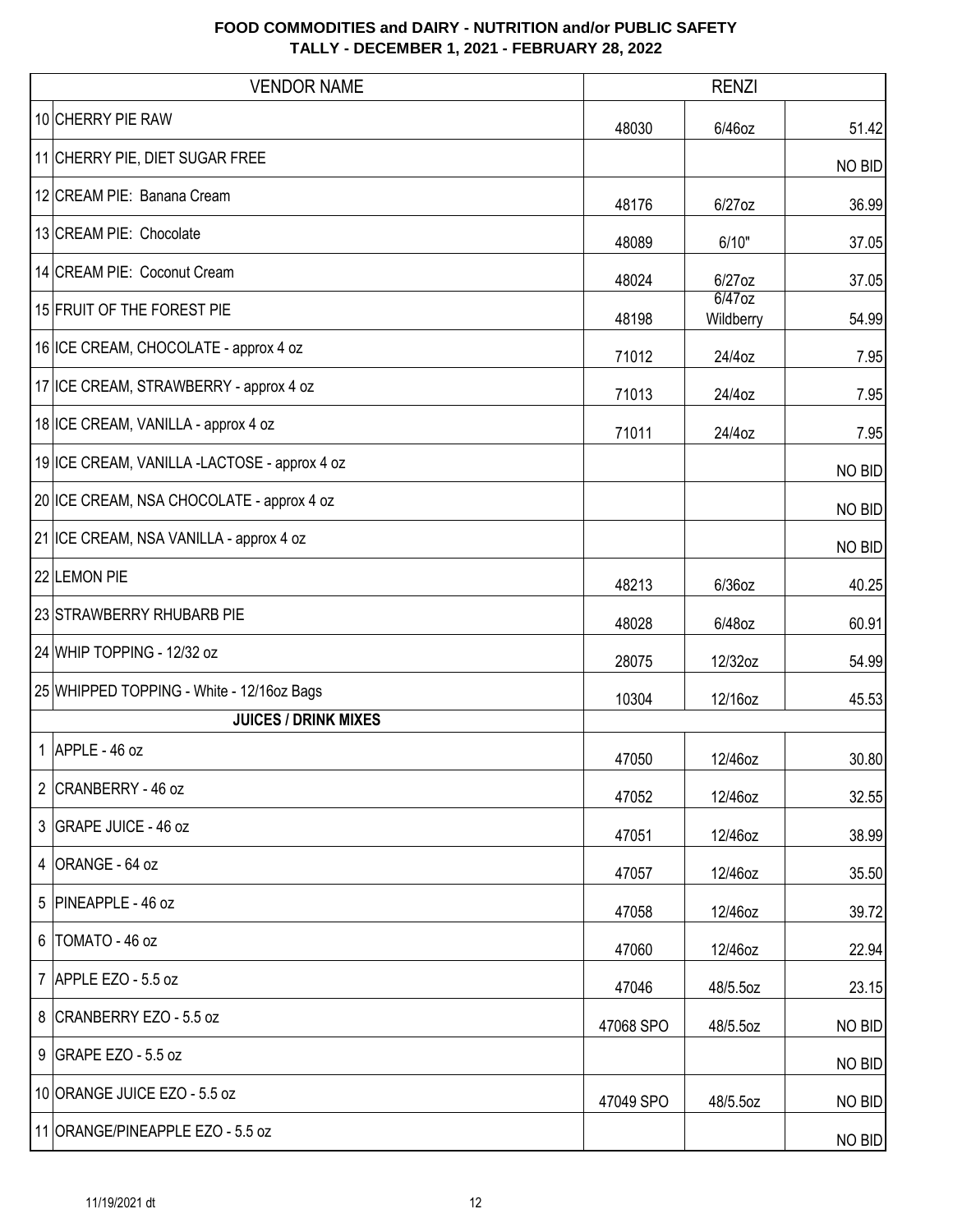| <b>VENDOR NAME</b>                           | <b>RENZI</b> |                        |        |
|----------------------------------------------|--------------|------------------------|--------|
| 10 CHERRY PIE RAW                            | 48030        | 6/46oz                 | 51.42  |
| 11 CHERRY PIE, DIET SUGAR FREE               |              |                        | NO BID |
| 12 CREAM PIE: Banana Cream                   | 48176        | 6/27oz                 | 36.99  |
| 13 CREAM PIE: Chocolate                      | 48089        | 6/10"                  | 37.05  |
| 14 CREAM PIE: Coconut Cream                  | 48024        | 6/27oz                 | 37.05  |
| 15 FRUIT OF THE FOREST PIE                   | 48198        | $6/47$ oz<br>Wildberry | 54.99  |
| 16 ICE CREAM, CHOCOLATE - approx 4 oz        | 71012        | 24/4oz                 | 7.95   |
| 17 ICE CREAM, STRAWBERRY - approx 4 oz       | 71013        | 24/4oz                 | 7.95   |
| 18 ICE CREAM, VANILLA - approx 4 oz          | 71011        | 24/4oz                 | 7.95   |
| 19 ICE CREAM, VANILLA -LACTOSE - approx 4 oz |              |                        | NO BID |
| 20 ICE CREAM, NSA CHOCOLATE - approx 4 oz    |              |                        | NO BID |
| 21 ICE CREAM, NSA VANILLA - approx 4 oz      |              |                        | NO BID |
| 22 LEMON PIE                                 | 48213        | 6/36oz                 | 40.25  |
| 23 STRAWBERRY RHUBARB PIE                    | 48028        | 6/48oz                 | 60.91  |
| 24 WHIP TOPPING - 12/32 oz                   | 28075        | 12/32oz                | 54.99  |
| 25 WHIPPED TOPPING - White - 12/16oz Bags    | 10304        | 12/16oz                | 45.53  |
| <b>JUICES / DRINK MIXES</b>                  |              |                        |        |
| 1 APPLE - 46 oz                              | 47050        | 12/46oz                | 30.80  |
| 2 CRANBERRY - 46 oz                          | 47052        | 12/46oz                | 32.55  |
| 3 GRAPE JUICE - 46 oz                        | 47051        | 12/46oz                | 38.99  |
| 4 ORANGE - 64 oz                             | 47057        | 12/46oz                | 35.50  |
| 5 PINEAPPLE - 46 oz                          | 47058        | 12/46oz                | 39.72  |
| 6   TOMATO - 46 oz                           | 47060        | 12/46oz                | 22.94  |
| 7 APPLE EZO - 5.5 oz                         | 47046        | 48/5.5oz               | 23.15  |
| 8 CRANBERRY EZO - 5.5 oz                     | 47068 SPO    | 48/5.5oz               | NO BID |
| 9 GRAPE EZO - 5.5 oz                         |              |                        | NO BID |
| 10 ORANGE JUICE EZO - 5.5 oz                 | 47049 SPO    | 48/5.5oz               | NO BID |
| 11 ORANGE/PINEAPPLE EZO - 5.5 oz             |              |                        | NO BID |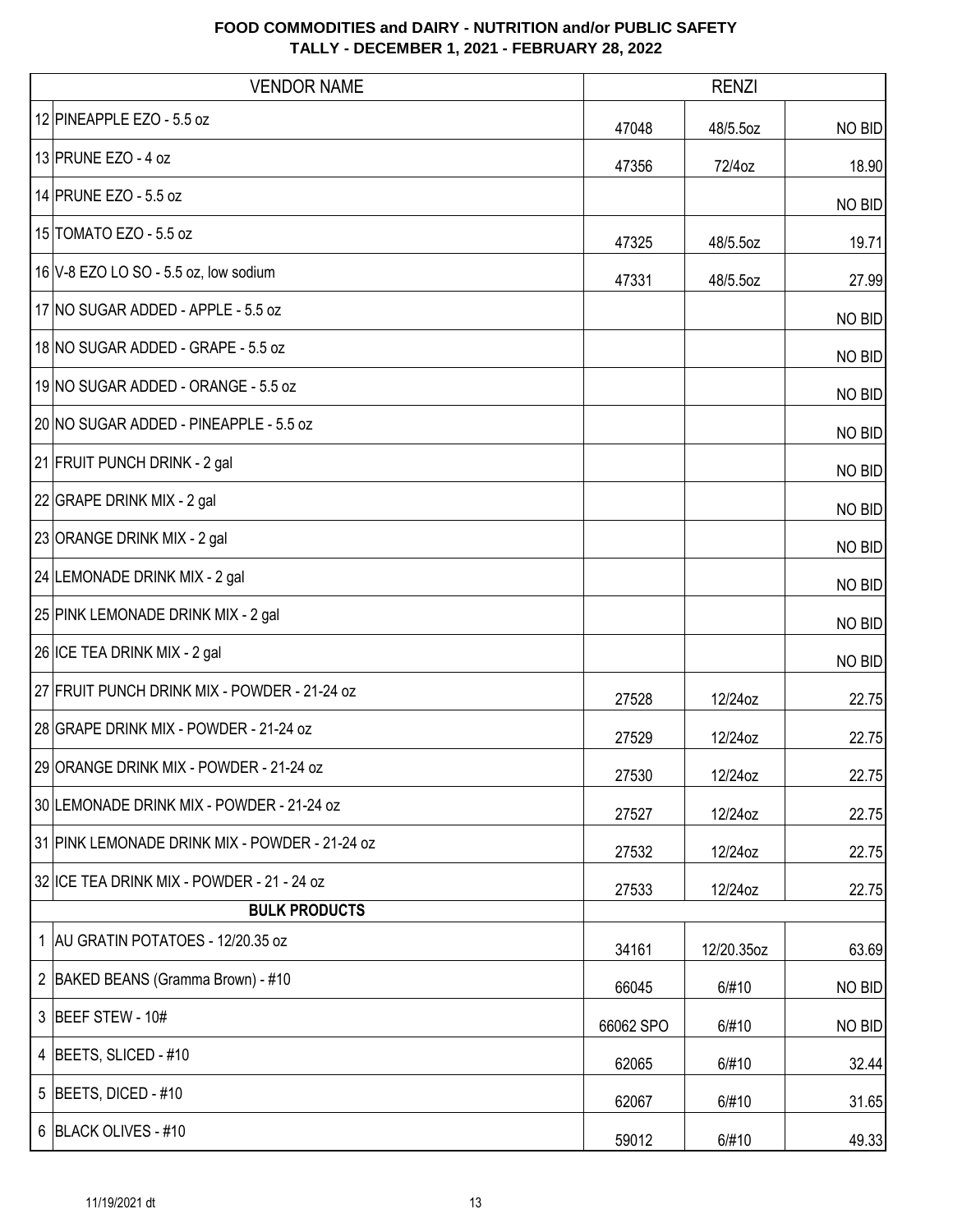| <b>VENDOR NAME</b>                             | <b>RENZI</b> |            |        |
|------------------------------------------------|--------------|------------|--------|
| 12 PINEAPPLE EZO - 5.5 oz                      | 47048        | 48/5.5oz   | NO BID |
| 13 PRUNE EZO - 4 oz                            | 47356        | 72/4oz     | 18.90  |
| 14 PRUNE EZO - 5.5 oz                          |              |            | NO BID |
| 15 TOMATO EZO - 5.5 oz                         | 47325        | 48/5.5oz   | 19.71  |
| 16 V-8 EZO LO SO - 5.5 oz, low sodium          | 47331        | 48/5.5oz   | 27.99  |
| 17 NO SUGAR ADDED - APPLE - 5.5 oz             |              |            | NO BID |
| 18 NO SUGAR ADDED - GRAPE - 5.5 oz             |              |            | NO BID |
| 19 NO SUGAR ADDED - ORANGE - 5.5 oz            |              |            | NO BID |
| 20 NO SUGAR ADDED - PINEAPPLE - 5.5 oz         |              |            | NO BID |
| 21 FRUIT PUNCH DRINK - 2 gal                   |              |            | NO BID |
| 22 GRAPE DRINK MIX - 2 gal                     |              |            | NO BID |
| 23 ORANGE DRINK MIX - 2 gal                    |              |            | NO BID |
| 24 LEMONADE DRINK MIX - 2 gal                  |              |            | NO BID |
| 25 PINK LEMONADE DRINK MIX - 2 gal             |              |            | NO BID |
| 26 ICE TEA DRINK MIX - 2 gal                   |              |            | NO BID |
| 27 FRUIT PUNCH DRINK MIX - POWDER - 21-24 oz   | 27528        | 12/24oz    | 22.75  |
| 28 GRAPE DRINK MIX - POWDER - 21-24 oz         | 27529        | 12/24oz    | 22.75  |
| 29 ORANGE DRINK MIX - POWDER - 21-24 oz        | 27530        | 12/24oz    | 22.75  |
| 30 LEMONADE DRINK MIX - POWDER - 21-24 oz      | 27527        | 12/24oz    | 22.75  |
| 31 PINK LEMONADE DRINK MIX - POWDER - 21-24 oz | 27532        | 12/24oz    | 22.75  |
| 32 ICE TEA DRINK MIX - POWDER - 21 - 24 oz     | 27533        | 12/24oz    | 22.75  |
| <b>BULK PRODUCTS</b>                           |              |            |        |
| 1 AU GRATIN POTATOES - 12/20.35 oz             | 34161        | 12/20.35oz | 63.69  |
| 2   BAKED BEANS (Gramma Brown) - #10           | 66045        | 6/#10      | NO BID |
| 3 BEEF STEW - 10#                              | 66062 SPO    | 6/#10      | NO BID |
| 4 BEETS, SLICED - #10                          | 62065        | 6/#10      | 32.44  |
| 5   BEETS, DICED - $#10$                       | 62067        | 6/#10      | 31.65  |
| 6 BLACK OLIVES - #10                           | 59012        | 6/#10      | 49.33  |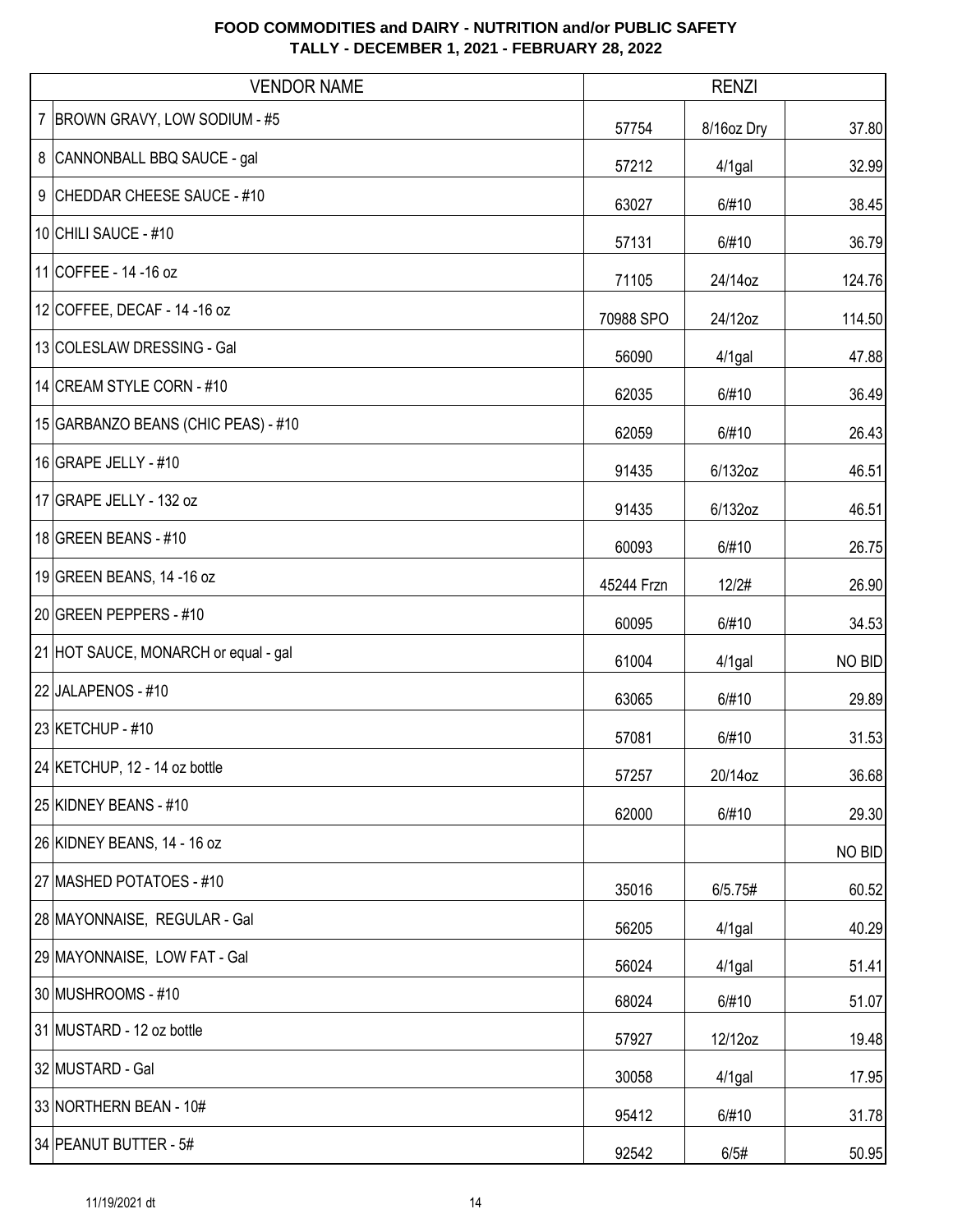| <b>VENDOR NAME</b>                   |            | <b>RENZI</b> |        |
|--------------------------------------|------------|--------------|--------|
| 7   BROWN GRAVY, LOW SODIUM - #5     | 57754      | 8/16oz Dry   | 37.80  |
| 8 CANNONBALL BBQ SAUCE - gal         | 57212      | $4/1$ gal    | 32.99  |
| 9 CHEDDAR CHEESE SAUCE - #10         | 63027      | 6/#10        | 38.45  |
| 10 CHILI SAUCE - #10                 | 57131      | 6/#10        | 36.79  |
| 11 COFFEE - 14 - 16 oz               | 71105      | 24/14oz      | 124.76 |
| 12 COFFEE, DECAF - 14 - 16 oz        | 70988 SPO  | 24/12oz      | 114.50 |
| 13 COLESLAW DRESSING - Gal           | 56090      | $4/1$ gal    | 47.88  |
| 14 CREAM STYLE CORN - #10            | 62035      | 6/#10        | 36.49  |
| 15 GARBANZO BEANS (CHIC PEAS) - #10  | 62059      | 6/#10        | 26.43  |
| 16 GRAPE JELLY - #10                 | 91435      | 6/132oz      | 46.51  |
| 17 GRAPE JELLY - 132 oz              | 91435      | 6/132oz      | 46.51  |
| 18 GREEN BEANS - #10                 | 60093      | 6/#10        | 26.75  |
| 19 GREEN BEANS, 14 -16 oz            | 45244 Frzn | 12/2#        | 26.90  |
| 20 GREEN PEPPERS - #10               | 60095      | 6/#10        | 34.53  |
| 21 HOT SAUCE, MONARCH or equal - gal | 61004      | 4/1gal       | NO BID |
| 22 JALAPENOS - #10                   | 63065      | 6/#10        | 29.89  |
| 23 KETCHUP - #10                     | 57081      | 6/#10        | 31.53  |
| 24 KETCHUP, 12 - 14 oz bottle        | 57257      | 20/14oz      | 36.68  |
| 25 KIDNEY BEANS - #10                | 62000      | 6/#10        | 29.30  |
| 26 KIDNEY BEANS, 14 - 16 oz          |            |              | NO BID |
| 27 MASHED POTATOES - #10             | 35016      | 6/5.75#      | 60.52  |
| 28 MAYONNAISE, REGULAR - Gal         | 56205      | $4/1$ gal    | 40.29  |
| 29 MAYONNAISE, LOW FAT - Gal         | 56024      | 4/1gal       | 51.41  |
| 30 MUSHROOMS - #10                   | 68024      | 6/#10        | 51.07  |
| 31 MUSTARD - 12 oz bottle            | 57927      | 12/12oz      | 19.48  |
| 32 MUSTARD - Gal                     | 30058      | $4/1$ gal    | 17.95  |
| 33 NORTHERN BEAN - 10#               | 95412      | 6/#10        | 31.78  |
| 34 PEANUT BUTTER - 5#                | 92542      | 6/5#         | 50.95  |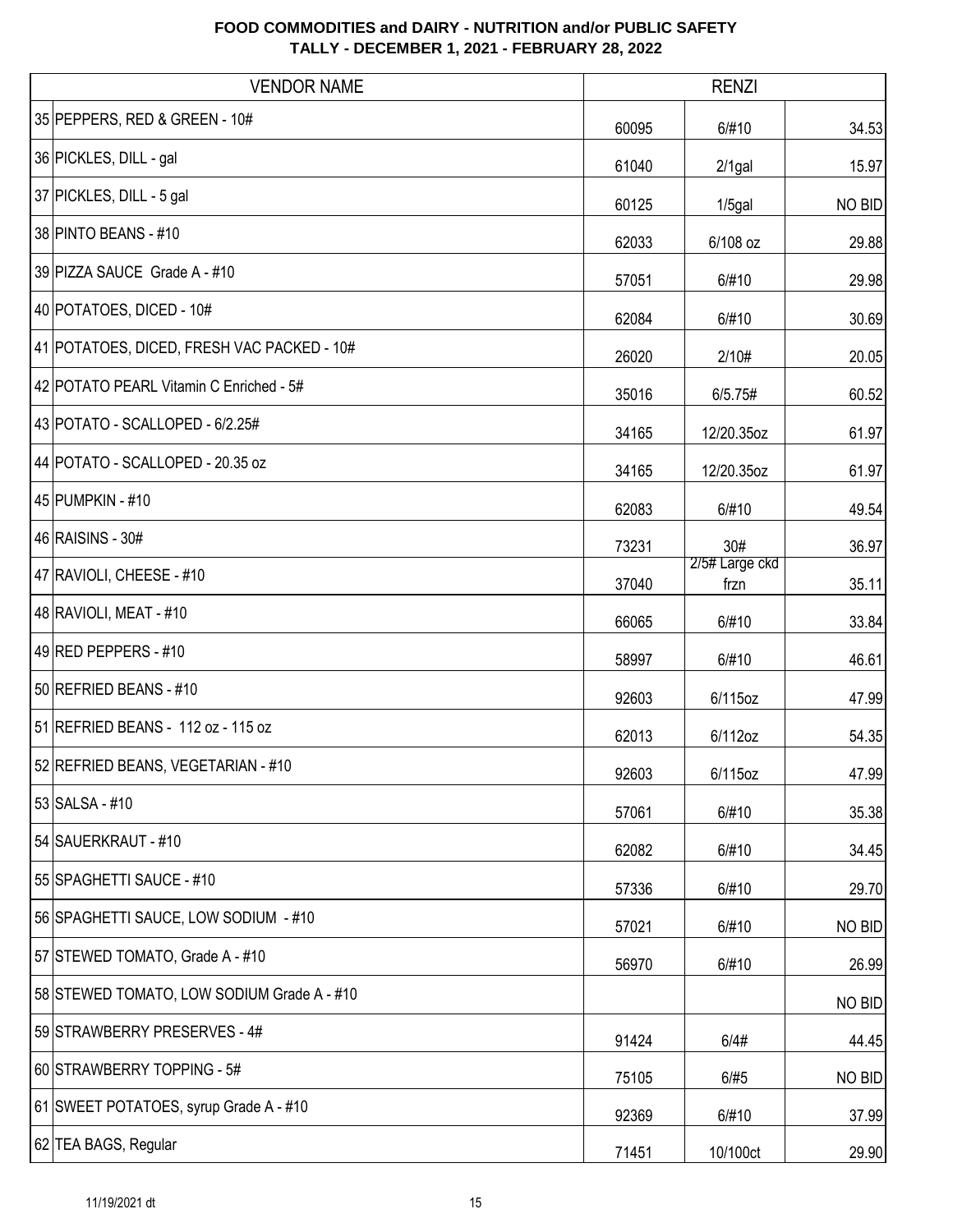| <b>VENDOR NAME</b>                         |       | <b>RENZI</b>           |        |
|--------------------------------------------|-------|------------------------|--------|
| 35 PEPPERS, RED & GREEN - 10#              | 60095 | 6/#10                  | 34.53  |
| 36 PICKLES, DILL - gal                     | 61040 | $2/1$ gal              | 15.97  |
| 37 PICKLES, DILL - 5 gal                   | 60125 | $1/5$ gal              | NO BID |
| 38 PINTO BEANS - #10                       | 62033 | 6/108 oz               | 29.88  |
| 39 PIZZA SAUCE Grade A - #10               | 57051 | 6/#10                  | 29.98  |
| 40 POTATOES, DICED - 10#                   | 62084 | 6/#10                  | 30.69  |
| 41 POTATOES, DICED, FRESH VAC PACKED - 10# | 26020 | 2/10#                  | 20.05  |
| 42 POTATO PEARL Vitamin C Enriched - 5#    | 35016 | 6/5.75#                | 60.52  |
| 43 POTATO - SCALLOPED - 6/2.25#            | 34165 | 12/20.35oz             | 61.97  |
| 44 POTATO - SCALLOPED - 20.35 oz           | 34165 | 12/20.35oz             | 61.97  |
| 45 PUMPKIN - #10                           | 62083 | 6/#10                  | 49.54  |
| 46 RAISINS - 30#                           | 73231 | 30#                    | 36.97  |
| 47 RAVIOLI, CHEESE - #10                   | 37040 | 2/5# Large ckd<br>frzn | 35.11  |
| 48 RAVIOLI, MEAT - #10                     | 66065 | 6/#10                  | 33.84  |
| 49 RED PEPPERS - #10                       | 58997 | 6/#10                  | 46.61  |
| 50 REFRIED BEANS - #10                     | 92603 | 6/115oz                | 47.99  |
| 51 REFRIED BEANS - 112 oz - 115 oz         | 62013 | 6/112oz                | 54.35  |
| 52 REFRIED BEANS, VEGETARIAN - #10         | 92603 | 6/115oz                | 47.99  |
| 53 SALSA - #10                             | 57061 | 6/#10                  | 35.38  |
| 54 SAUERKRAUT - #10                        | 62082 | 6/#10                  | 34.45  |
| 55 SPAGHETTI SAUCE - #10                   | 57336 | 6/#10                  | 29.70  |
| 56 SPAGHETTI SAUCE, LOW SODIUM - #10       | 57021 | 6/#10                  | NO BID |
| 57 STEWED TOMATO, Grade A - #10            | 56970 | 6/#10                  | 26.99  |
| 58 STEWED TOMATO, LOW SODIUM Grade A - #10 |       |                        | NO BID |
| 59 STRAWBERRY PRESERVES - 4#               | 91424 | 6/4#                   | 44.45  |
| 60 STRAWBERRY TOPPING - 5#                 | 75105 | 6/#5                   | NO BID |
| 61 SWEET POTATOES, syrup Grade A - #10     | 92369 | 6/#10                  | 37.99  |
| 62 TEA BAGS, Regular                       | 71451 | 10/100ct               | 29.90  |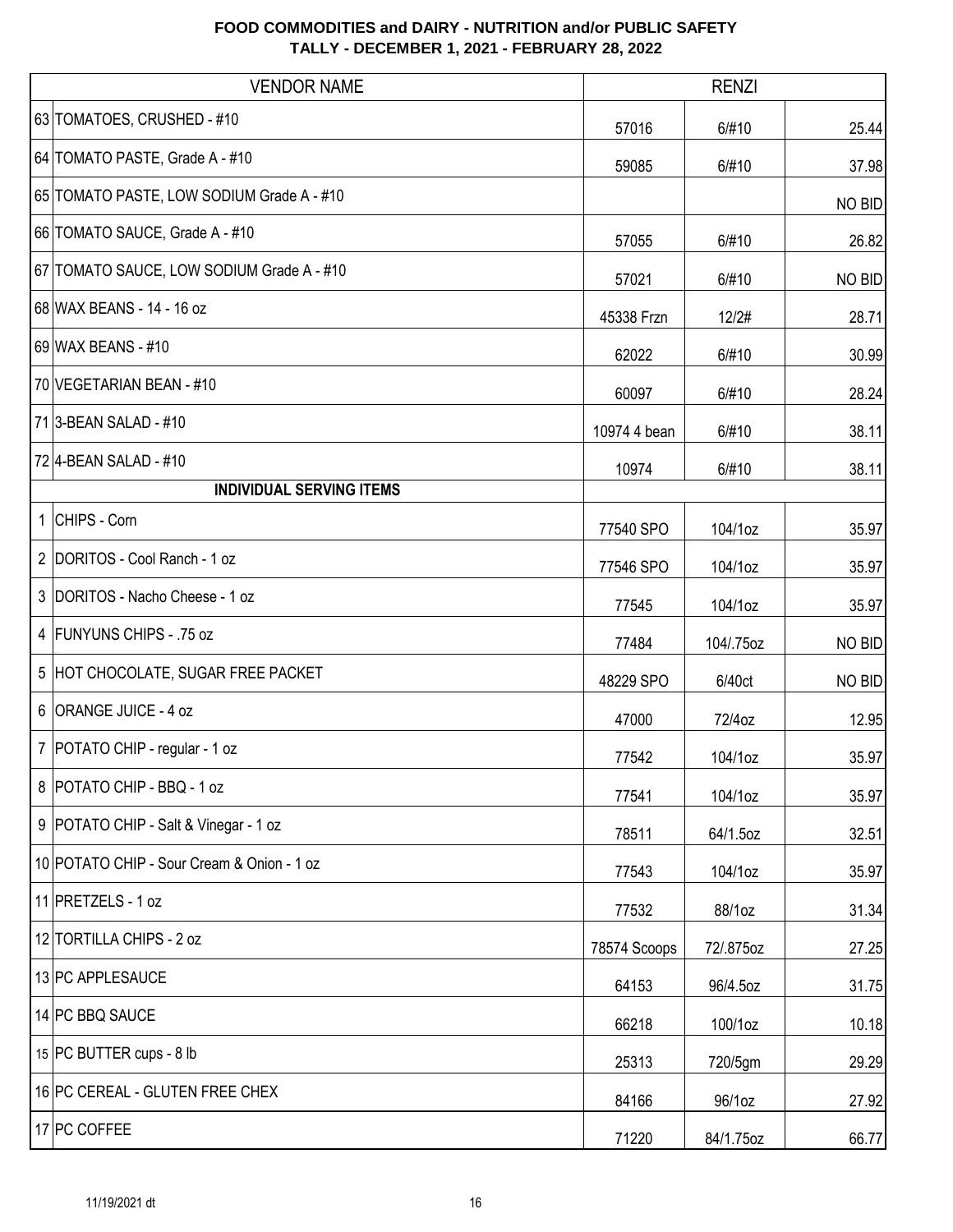| <b>VENDOR NAME</b>                         |              | <b>RENZI</b> |        |
|--------------------------------------------|--------------|--------------|--------|
| 63 TOMATOES, CRUSHED - #10                 | 57016        | 6/#10        | 25.44  |
| 64 TOMATO PASTE, Grade A - #10             | 59085        | 6/#10        | 37.98  |
| 65 TOMATO PASTE, LOW SODIUM Grade A - #10  |              |              | NO BID |
| 66 TOMATO SAUCE, Grade A - #10             | 57055        | 6/#10        | 26.82  |
| 67 TOMATO SAUCE, LOW SODIUM Grade A - #10  | 57021        | 6/#10        | NO BID |
| 68 WAX BEANS - 14 - 16 oz                  | 45338 Frzn   | 12/2#        | 28.71  |
| 69 WAX BEANS - #10                         | 62022        | 6/#10        | 30.99  |
| 70 VEGETARIAN BEAN - #10                   | 60097        | 6/#10        | 28.24  |
| 71 3-BEAN SALAD - #10                      | 10974 4 bean | 6/#10        | 38.11  |
| 72 4-BEAN SALAD - #10                      | 10974        | 6/#10        | 38.11  |
| <b>INDIVIDUAL SERVING ITEMS</b>            |              |              |        |
| 1 CHIPS - Corn                             | 77540 SPO    | 104/1oz      | 35.97  |
| 2 DORITOS - Cool Ranch - 1 oz              | 77546 SPO    | 104/1oz      | 35.97  |
| 3 DORITOS - Nacho Cheese - 1 oz            | 77545        | 104/1oz      | 35.97  |
| 4 FUNYUNS CHIPS - .75 oz                   | 77484        | 104/.75oz    | NO BID |
| 5 HOT CHOCOLATE, SUGAR FREE PACKET         | 48229 SPO    | 6/40ct       | NO BID |
| 6 ORANGE JUICE - 4 oz                      | 47000        | 72/4oz       | 12.95  |
| 7   POTATO CHIP - regular - 1 oz           | 77542        | 104/1oz      | 35.97  |
| 8 POTATO CHIP - BBQ - 1 oz                 | 77541        | 104/1oz      | 35.97  |
| 9 POTATO CHIP - Salt & Vinegar - 1 oz      | 78511        | 64/1.5oz     | 32.51  |
| 10 POTATO CHIP - Sour Cream & Onion - 1 oz | 77543        | 104/1oz      | 35.97  |
| 11 PRETZELS - 1 oz                         | 77532        | 88/1oz       | 31.34  |
| 12 TORTILLA CHIPS - 2 oz                   | 78574 Scoops | 72/.875oz    | 27.25  |
| 13 PC APPLESAUCE                           | 64153        | 96/4.5oz     | 31.75  |
| 14 PC BBQ SAUCE                            | 66218        | 100/1oz      | 10.18  |
| 15 PC BUTTER cups - 8 lb                   | 25313        | 720/5gm      | 29.29  |
| 16 PC CEREAL - GLUTEN FREE CHEX            | 84166        | 96/1oz       | 27.92  |
| 17 PC COFFEE                               | 71220        | 84/1.75oz    | 66.77  |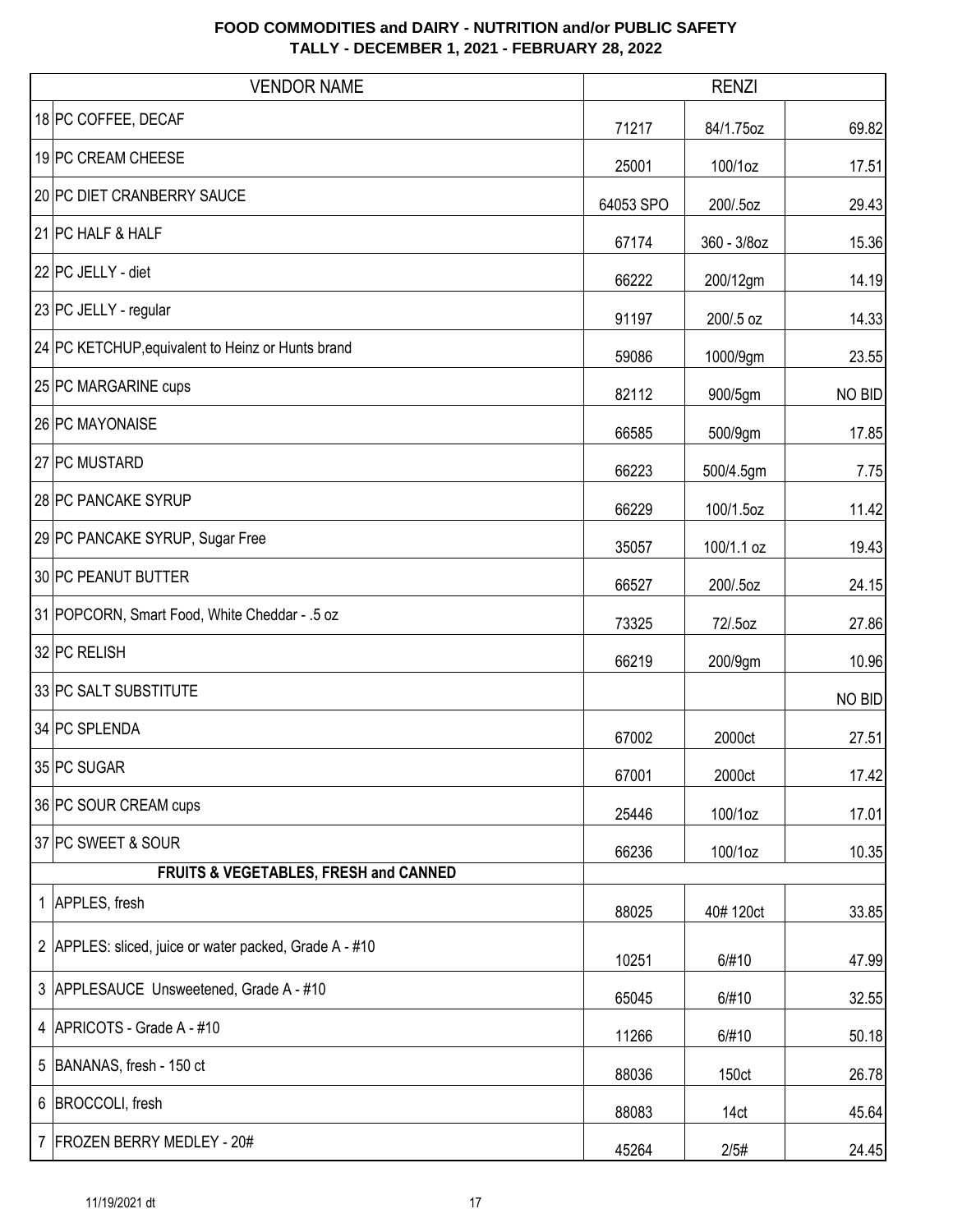| <b>VENDOR NAME</b>                                     |           | <b>RENZI</b> |        |
|--------------------------------------------------------|-----------|--------------|--------|
| 18 PC COFFEE, DECAF                                    | 71217     | 84/1.75oz    | 69.82  |
| 19 PC CREAM CHEESE                                     | 25001     | 100/1oz      | 17.51  |
| 20 PC DIET CRANBERRY SAUCE                             | 64053 SPO | 200/.5oz     | 29.43  |
| 21 PC HALF & HALF                                      | 67174     | 360 - 3/8oz  | 15.36  |
| 22 PC JELLY - diet                                     | 66222     | 200/12gm     | 14.19  |
| 23 PC JELLY - regular                                  | 91197     | 200/.5 oz    | 14.33  |
| 24 PC KETCHUP, equivalent to Heinz or Hunts brand      | 59086     | 1000/9gm     | 23.55  |
| 25 PC MARGARINE cups                                   | 82112     | 900/5gm      | NO BID |
| 26 PC MAYONAISE                                        | 66585     | 500/9gm      | 17.85  |
| 27 PC MUSTARD                                          | 66223     | 500/4.5gm    | 7.75   |
| 28 PC PANCAKE SYRUP                                    | 66229     | 100/1.5oz    | 11.42  |
| 29 PC PANCAKE SYRUP, Sugar Free                        | 35057     | 100/1.1 oz   | 19.43  |
| 30 PC PEANUT BUTTER                                    | 66527     | 200/.5oz     | 24.15  |
| 31 POPCORN, Smart Food, White Cheddar - .5 oz          | 73325     | 72/.5oz      | 27.86  |
| 32 PC RELISH                                           | 66219     | 200/9gm      | 10.96  |
| 33 PC SALT SUBSTITUTE                                  |           |              | NO BID |
| 34 PC SPLENDA                                          | 67002     | 2000ct       | 27.51  |
| 35 PC SUGAR                                            | 67001     | 2000ct       | 17.42  |
| 36 PC SOUR CREAM cups                                  | 25446     | 100/1oz      | 17.01  |
| 37 PC SWEET & SOUR                                     | 66236     | 100/1oz      | 10.35  |
| FRUITS & VEGETABLES, FRESH and CANNED                  |           |              |        |
| 1 APPLES, fresh                                        | 88025     | 40#120ct     | 33.85  |
| 2 APPLES: sliced, juice or water packed, Grade A - #10 | 10251     | 6/#10        | 47.99  |
| 3 APPLESAUCE Unsweetened, Grade A - #10                | 65045     | 6/#10        | 32.55  |
| 4   APRICOTS - Grade A - #10                           | 11266     | 6/#10        | 50.18  |
| 5 BANANAS, fresh - 150 ct                              | 88036     | 150ct        | 26.78  |
| 6 BROCCOLI, fresh                                      | 88083     | 14ct         | 45.64  |
| 7 FROZEN BERRY MEDLEY - 20#                            | 45264     | 2/5#         | 24.45  |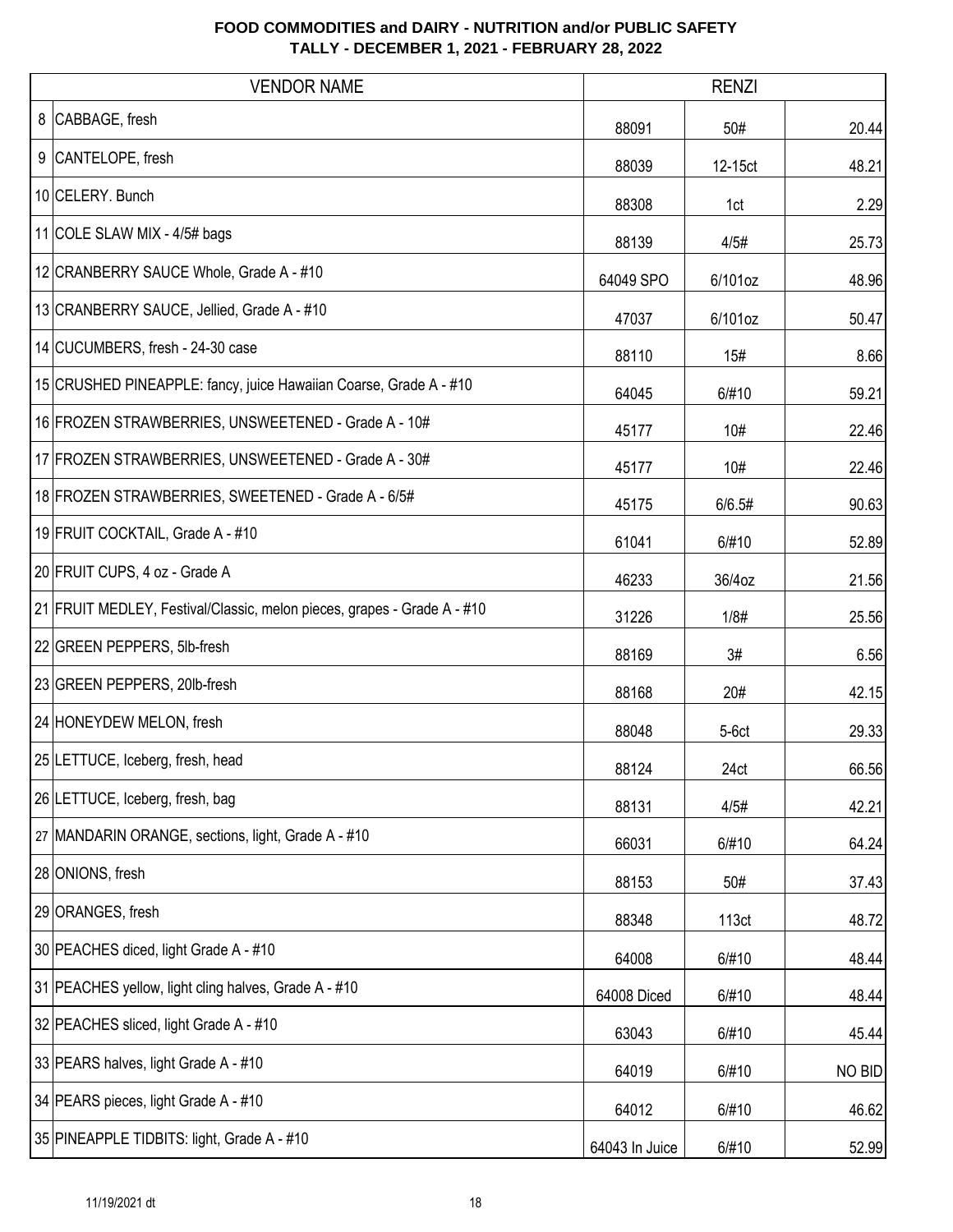|   | <b>VENDOR NAME</b>                                                      | <b>RENZI</b>   |         |               |
|---|-------------------------------------------------------------------------|----------------|---------|---------------|
| 8 | CABBAGE, fresh                                                          | 88091          | 50#     | 20.44         |
| 9 | CANTELOPE, fresh                                                        | 88039          | 12-15ct | 48.21         |
|   | 10 CELERY. Bunch                                                        | 88308          | 1ct     | 2.29          |
|   | 11 COLE SLAW MIX - 4/5# bags                                            | 88139          | 4/5#    | 25.73         |
|   | 12 CRANBERRY SAUCE Whole, Grade A - #10                                 | 64049 SPO      | 6/101oz | 48.96         |
|   | 13 CRANBERRY SAUCE, Jellied, Grade A - #10                              | 47037          | 6/101oz | 50.47         |
|   | 14 CUCUMBERS, fresh - 24-30 case                                        | 88110          | 15#     | 8.66          |
|   | 15 CRUSHED PINEAPPLE: fancy, juice Hawaiian Coarse, Grade A - #10       | 64045          | 6/#10   | 59.21         |
|   | 16 FROZEN STRAWBERRIES, UNSWEETENED - Grade A - 10#                     | 45177          | 10#     | 22.46         |
|   | 17 FROZEN STRAWBERRIES, UNSWEETENED - Grade A - 30#                     | 45177          | 10#     | 22.46         |
|   | 18 FROZEN STRAWBERRIES, SWEETENED - Grade A - 6/5#                      | 45175          | 6/6.5#  | 90.63         |
|   | 19 FRUIT COCKTAIL, Grade A - #10                                        | 61041          | 6/#10   | 52.89         |
|   | 20 FRUIT CUPS, 4 oz - Grade A                                           | 46233          | 36/4oz  | 21.56         |
|   | 21 FRUIT MEDLEY, Festival/Classic, melon pieces, grapes - Grade A - #10 | 31226          | 1/8#    | 25.56         |
|   | 22 GREEN PEPPERS, 5lb-fresh                                             | 88169          | 3#      | 6.56          |
|   | 23 GREEN PEPPERS, 20lb-fresh                                            | 88168          | 20#     | 42.15         |
|   | 24 HONEYDEW MELON, fresh                                                | 88048          | $5-6ct$ | 29.33         |
|   | 25 LETTUCE, Iceberg, fresh, head                                        | 88124          | 24ct    | 66.56         |
|   | 26 LETTUCE, Iceberg, fresh, bag                                         | 88131          | 4/5#    | 42.21         |
|   | 27 MANDARIN ORANGE, sections, light, Grade A - #10                      | 66031          | 6/#10   | 64.24         |
|   | 28 ONIONS, fresh                                                        | 88153          | 50#     | 37.43         |
|   | 29 ORANGES, fresh                                                       | 88348          | 113ct   | 48.72         |
|   | 30 PEACHES diced, light Grade A - #10                                   | 64008          | 6/#10   | 48.44         |
|   | 31 PEACHES yellow, light cling halves, Grade A - #10                    | 64008 Diced    | 6/#10   | 48.44         |
|   | 32 PEACHES sliced, light Grade A - #10                                  | 63043          | 6/#10   | 45.44         |
|   | 33 PEARS halves, light Grade A - #10                                    | 64019          | 6/#10   | <b>NO BID</b> |
|   | 34 PEARS pieces, light Grade A - #10                                    | 64012          | 6/#10   | 46.62         |
|   | 35 PINEAPPLE TIDBITS: light, Grade A - #10                              | 64043 In Juice | 6/#10   | 52.99         |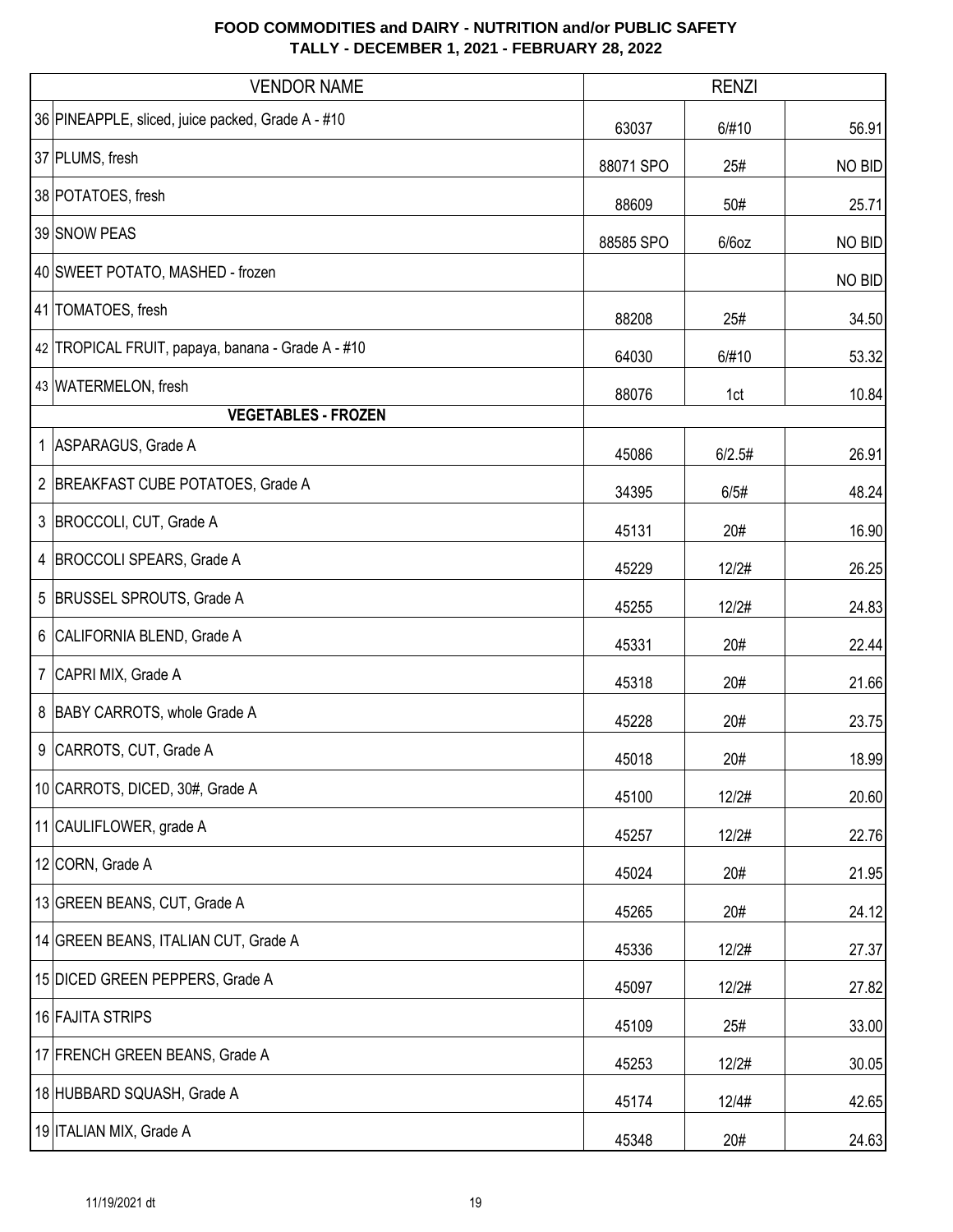|   | <b>VENDOR NAME</b>                                | <b>RENZI</b> |          |        |
|---|---------------------------------------------------|--------------|----------|--------|
|   | 36 PINEAPPLE, sliced, juice packed, Grade A - #10 | 63037        | 6/#10    | 56.91  |
|   | 37 PLUMS, fresh                                   | 88071 SPO    | 25#      | NO BID |
|   | 38 POTATOES, fresh                                | 88609        | 50#      | 25.71  |
|   | 39 SNOW PEAS                                      | 88585 SPO    | $6/6$ oz | NO BID |
|   | 40 SWEET POTATO, MASHED - frozen                  |              |          | NO BID |
|   | 41 TOMATOES, fresh                                | 88208        | 25#      | 34.50  |
|   | 42 TROPICAL FRUIT, papaya, banana - Grade A - #10 | 64030        | 6/#10    | 53.32  |
|   | 43 WATERMELON, fresh                              | 88076        | 1ct      | 10.84  |
|   | <b>VEGETABLES - FROZEN</b>                        |              |          |        |
|   | 1   ASPARAGUS, Grade A                            | 45086        | 6/2.5#   | 26.91  |
|   | 2 BREAKFAST CUBE POTATOES, Grade A                | 34395        | 6/5#     | 48.24  |
|   | 3 BROCCOLI, CUT, Grade A                          | 45131        | 20#      | 16.90  |
| 4 | BROCCOLI SPEARS, Grade A                          | 45229        | 12/2#    | 26.25  |
| 5 | <b>BRUSSEL SPROUTS, Grade A</b>                   | 45255        | 12/2#    | 24.83  |
|   | 6 CALIFORNIA BLEND, Grade A                       | 45331        | 20#      | 22.44  |
|   | 7 CAPRI MIX, Grade A                              | 45318        | 20#      | 21.66  |
|   | 8 BABY CARROTS, whole Grade A                     | 45228        | 20#      | 23.75  |
| 9 | CARROTS, CUT, Grade A                             | 45018        | 20#      | 18.99  |
|   | 10 CARROTS, DICED, 30#, Grade A                   | 45100        | 12/2#    | 20.60  |
|   | 11 CAULIFLOWER, grade A                           | 45257        | 12/2#    | 22.76  |
|   | 12 CORN, Grade A                                  | 45024        | 20#      | 21.95  |
|   | 13 GREEN BEANS, CUT, Grade A                      | 45265        | 20#      | 24.12  |
|   | 14 GREEN BEANS, ITALIAN CUT, Grade A              | 45336        | 12/2#    | 27.37  |
|   | 15 DICED GREEN PEPPERS, Grade A                   | 45097        | 12/2#    | 27.82  |
|   | 16 FAJITA STRIPS                                  | 45109        | 25#      | 33.00  |
|   | 17 FRENCH GREEN BEANS, Grade A                    | 45253        | 12/2#    | 30.05  |
|   | 18 HUBBARD SQUASH, Grade A                        | 45174        | 12/4#    | 42.65  |
|   | 19 ITALIAN MIX, Grade A                           | 45348        | 20#      | 24.63  |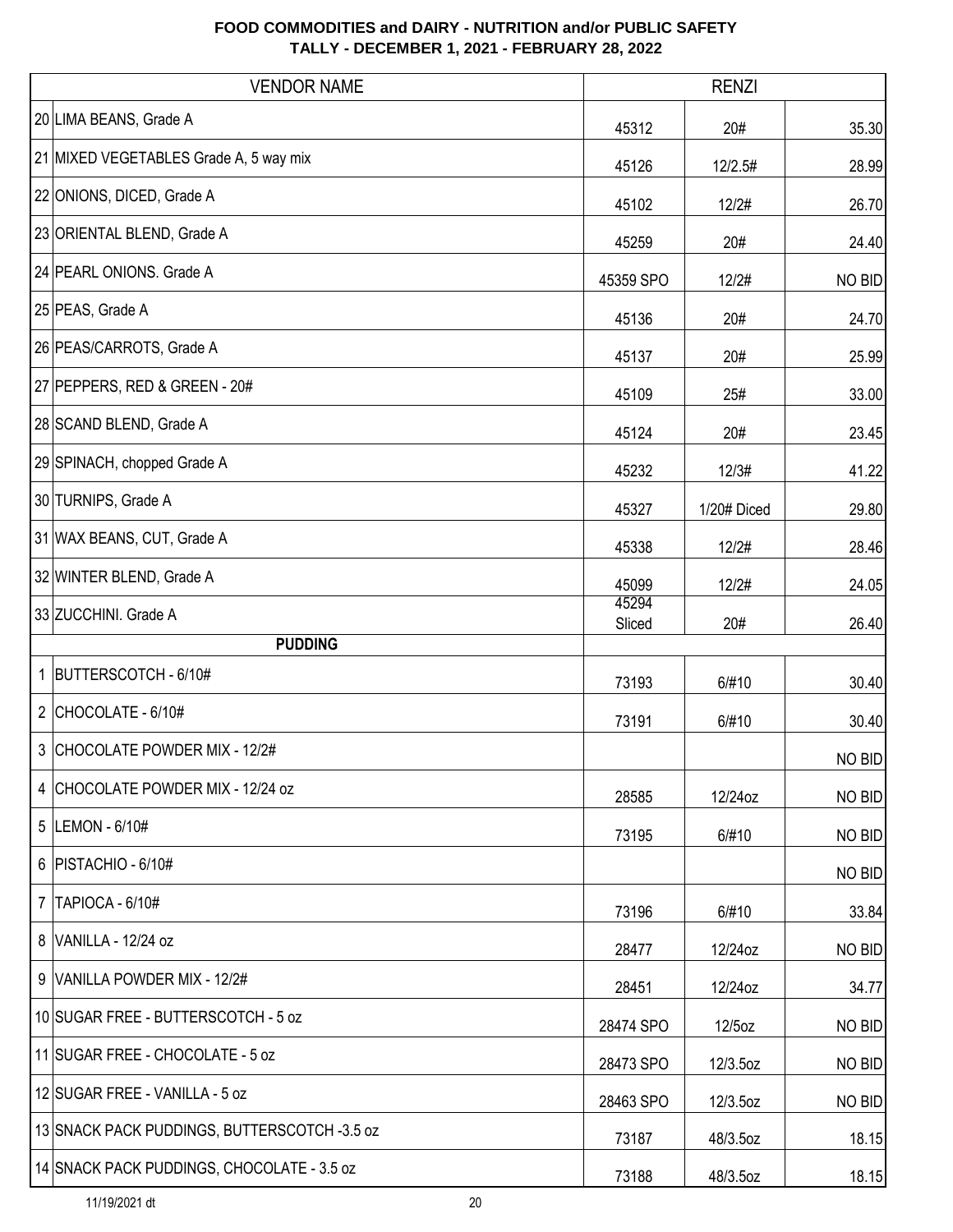|                | <b>VENDOR NAME</b>                           |                 | <b>RENZI</b> |               |
|----------------|----------------------------------------------|-----------------|--------------|---------------|
|                | 20 LIMA BEANS, Grade A                       | 45312           | 20#          | 35.30         |
|                | 21 MIXED VEGETABLES Grade A, 5 way mix       | 45126           | 12/2.5#      | 28.99         |
|                | 22 ONIONS, DICED, Grade A                    | 45102           | 12/2#        | 26.70         |
|                | 23 ORIENTAL BLEND, Grade A                   | 45259           | 20#          | 24.40         |
|                | 24 PEARL ONIONS. Grade A                     | 45359 SPO       | 12/2#        | <b>NO BID</b> |
|                | 25 PEAS, Grade A                             | 45136           | 20#          | 24.70         |
|                | 26 PEAS/CARROTS, Grade A                     | 45137           | 20#          | 25.99         |
|                | 27 PEPPERS, RED & GREEN - 20#                | 45109           | 25#          | 33.00         |
|                | 28 SCAND BLEND, Grade A                      | 45124           | 20#          | 23.45         |
|                | 29 SPINACH, chopped Grade A                  | 45232           | 12/3#        | 41.22         |
|                | 30 TURNIPS, Grade A                          | 45327           | 1/20# Diced  | 29.80         |
|                | 31 WAX BEANS, CUT, Grade A                   | 45338           | 12/2#        | 28.46         |
|                | 32 WINTER BLEND, Grade A                     | 45099           | 12/2#        | 24.05         |
|                | 33 ZUCCHINI. Grade A                         | 45294<br>Sliced | 20#          | 26.40         |
|                | <b>PUDDING</b>                               |                 |              |               |
|                | 1 BUTTERSCOTCH - 6/10#                       | 73193           | 6/#10        | 30.40         |
|                | 2 CHOCOLATE - $6/10#$                        | 73191           | 6/#10        | 30.40         |
|                | 3 CHOCOLATE POWDER MIX - 12/2#               |                 |              | NO BID        |
|                | 4 CHOCOLATE POWDER MIX - 12/24 oz            | 28585           | 12/24oz      | NO BID        |
|                | 5  LEMON - 6/10#                             | 73195           | 6/#10        | NO BID        |
|                | 6   PISTACHIO - 6/10#                        |                 |              | NO BID        |
| $\overline{7}$ | TAPIOCA - 6/10#                              | 73196           | 6/#10        | 33.84         |
|                | 8 VANILLA - 12/24 oz                         | 28477           | 12/24oz      | NO BID        |
|                | 9 VANILLA POWDER MIX - 12/2#                 | 28451           | 12/24oz      | 34.77         |
|                | 10 SUGAR FREE - BUTTERSCOTCH - 5 oz          | 28474 SPO       | 12/5oz       | NO BID        |
|                | 11 SUGAR FREE - CHOCOLATE - 5 oz             | 28473 SPO       | 12/3.5oz     | NO BID        |
|                | 12 SUGAR FREE - VANILLA - 5 oz               | 28463 SPO       | 12/3.5oz     | NO BID        |
|                | 13 SNACK PACK PUDDINGS, BUTTERSCOTCH -3.5 oz | 73187           | 48/3.5oz     | 18.15         |
|                | 14 SNACK PACK PUDDINGS, CHOCOLATE - 3.5 oz   | 73188           | 48/3.5oz     | 18.15         |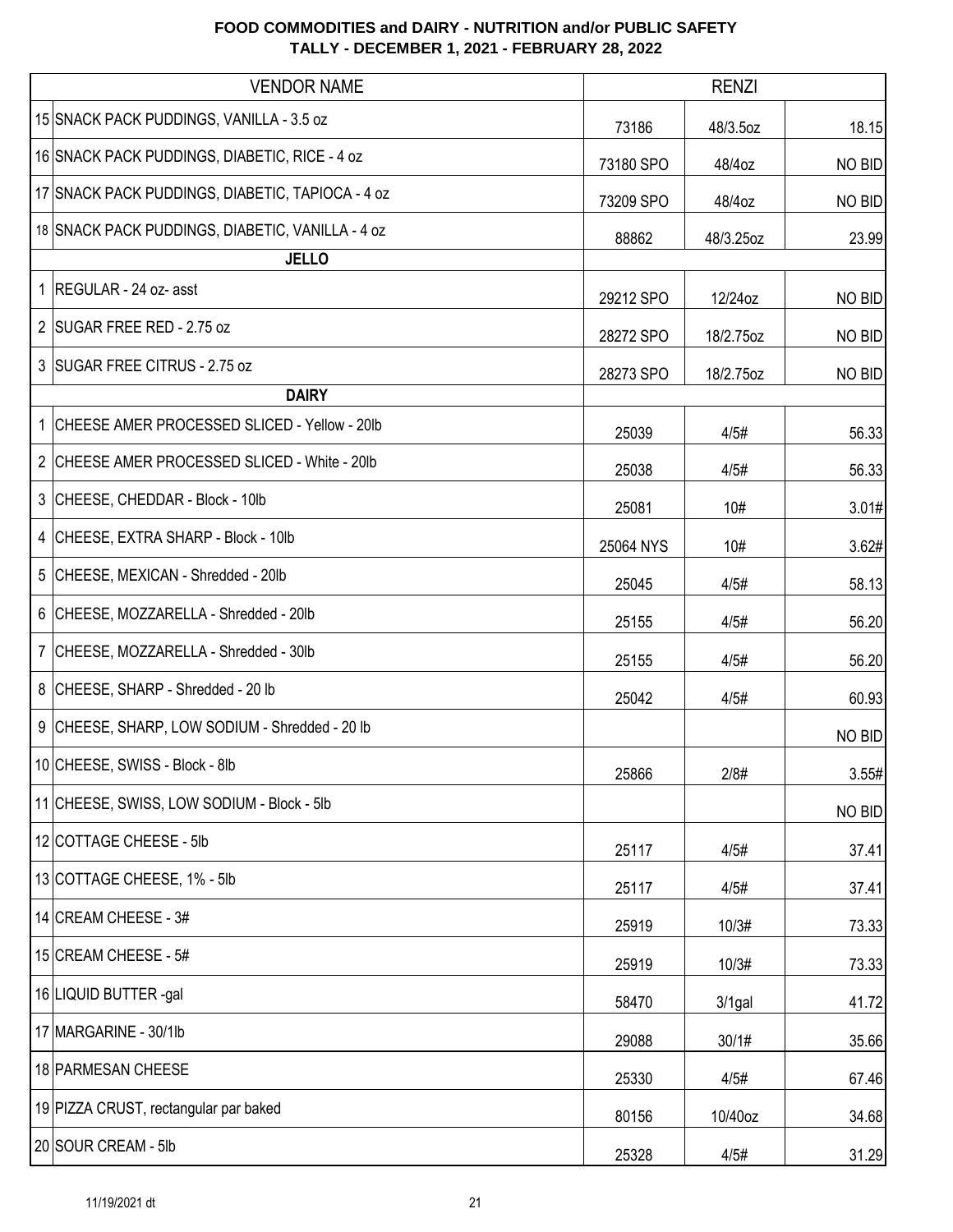| <b>VENDOR NAME</b>                               |           | <b>RENZI</b> |        |
|--------------------------------------------------|-----------|--------------|--------|
| 15 SNACK PACK PUDDINGS, VANILLA - 3.5 oz         | 73186     | 48/3.5oz     | 18.15  |
| 16 SNACK PACK PUDDINGS, DIABETIC, RICE - 4 oz    | 73180 SPO | 48/4oz       | NO BID |
| 17 SNACK PACK PUDDINGS, DIABETIC, TAPIOCA - 4 oz | 73209 SPO | 48/4oz       | NO BID |
| 18 SNACK PACK PUDDINGS, DIABETIC, VANILLA - 4 oz | 88862     | 48/3.25oz    | 23.99  |
| <b>JELLO</b>                                     |           |              |        |
| 1   REGULAR - 24 oz- asst                        | 29212 SPO | 12/24oz      | NO BID |
| 2 SUGAR FREE RED - 2.75 oz                       | 28272 SPO | 18/2.75oz    | NO BID |
| 3 SUGAR FREE CITRUS - 2.75 oz                    | 28273 SPO | 18/2.75oz    | NO BID |
| <b>DAIRY</b>                                     |           |              |        |
| 1 CHEESE AMER PROCESSED SLICED - Yellow - 20lb   | 25039     | 4/5#         | 56.33  |
| 2 CHEESE AMER PROCESSED SLICED - White - 20lb    | 25038     | 4/5#         | 56.33  |
| 3 CHEESE, CHEDDAR - Block - 10lb                 | 25081     | 10#          | 3.01#  |
| 4 CHEESE, EXTRA SHARP - Block - 10lb             | 25064 NYS | 10#          | 3.62#  |
| 5 CHEESE, MEXICAN - Shredded - 20lb              | 25045     | 4/5#         | 58.13  |
| 6 CHEESE, MOZZARELLA - Shredded - 20lb           | 25155     | 4/5#         | 56.20  |
| 7 CHEESE, MOZZARELLA - Shredded - 30lb           | 25155     | 4/5#         | 56.20  |
| 8 CHEESE, SHARP - Shredded - 20 lb               | 25042     | 4/5#         | 60.93  |
| 9 CHEESE, SHARP, LOW SODIUM - Shredded - 20 lb   |           |              | NO BID |
| 10 CHEESE, SWISS - Block - 8lb                   | 25866     | 2/8#         | 3.55#  |
| 11 CHEESE, SWISS, LOW SODIUM - Block - 5lb       |           |              | NO BID |
| 12 COTTAGE CHEESE - 5lb                          | 25117     | 4/5#         | 37.41  |
| 13 COTTAGE CHEESE, 1% - 5lb                      | 25117     | 4/5#         | 37.41  |
| 14 CREAM CHEESE - 3#                             | 25919     | 10/3#        | 73.33  |
| 15 CREAM CHEESE - 5#                             | 25919     | 10/3#        | 73.33  |
| 16 LIQUID BUTTER -gal                            | 58470     | $3/1$ gal    | 41.72  |
| 17 MARGARINE - 30/1lb                            | 29088     | 30/1#        | 35.66  |
| 18 PARMESAN CHEESE                               | 25330     | 4/5#         | 67.46  |
| 19 PIZZA CRUST, rectangular par baked            | 80156     | 10/40oz      | 34.68  |
| 20 SOUR CREAM - 5lb                              | 25328     | 4/5#         | 31.29  |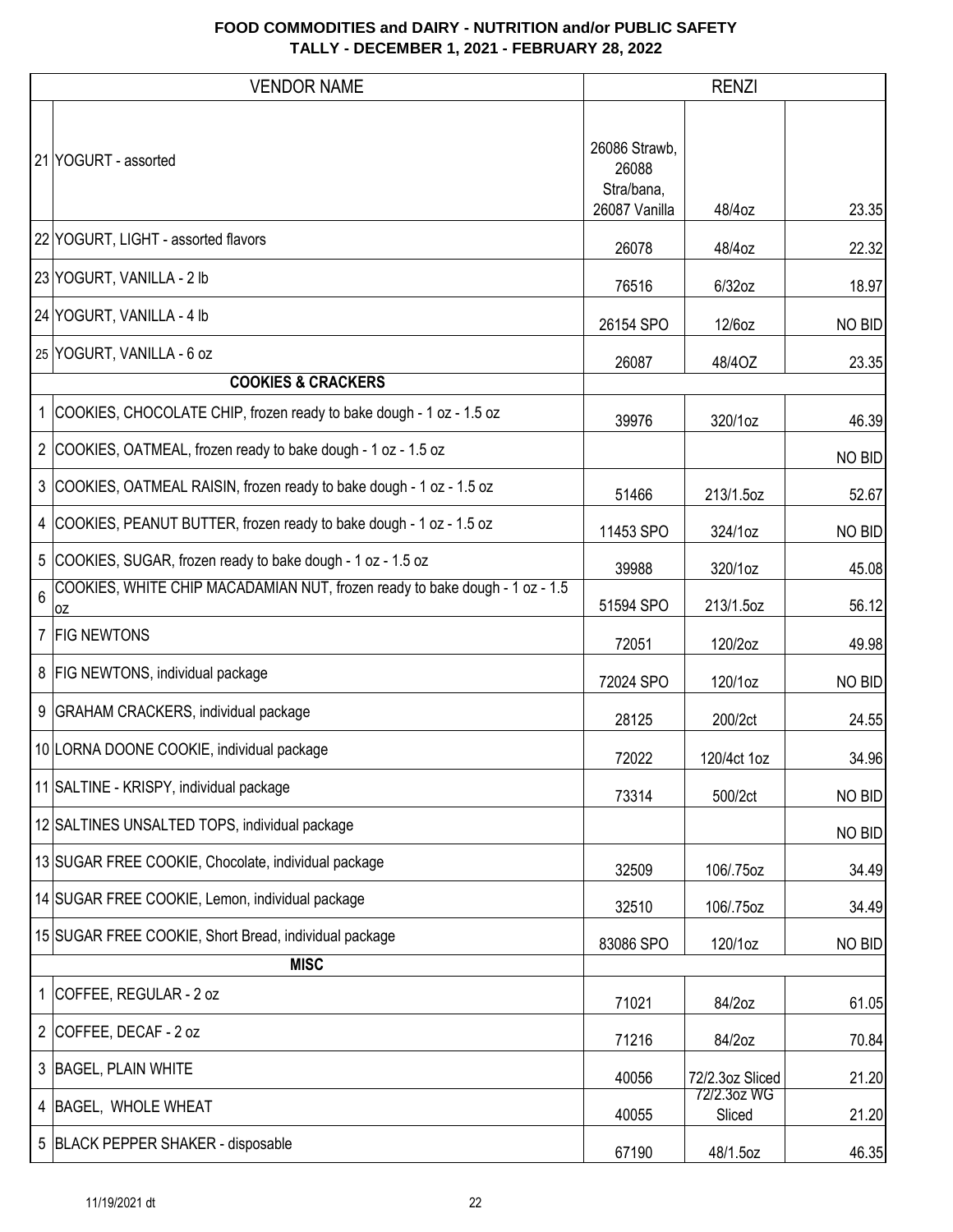|              | <b>VENDOR NAME</b>                                                                |                                                       | <b>RENZI</b>          |        |
|--------------|-----------------------------------------------------------------------------------|-------------------------------------------------------|-----------------------|--------|
|              | 21 YOGURT - assorted                                                              | 26086 Strawb,<br>26088<br>Stra/bana,<br>26087 Vanilla | 48/4oz                | 23.35  |
|              | 22 YOGURT, LIGHT - assorted flavors                                               | 26078                                                 | 48/4oz                | 22.32  |
|              | 23 YOGURT, VANILLA - 2 lb                                                         | 76516                                                 | 6/32oz                | 18.97  |
|              | 24 YOGURT, VANILLA - 4 lb                                                         | 26154 SPO                                             | 12/6oz                | NO BID |
|              | 25 YOGURT, VANILLA - 6 oz                                                         | 26087                                                 | 48/40Z                | 23.35  |
|              | <b>COOKIES &amp; CRACKERS</b>                                                     |                                                       |                       |        |
|              | 1 COOKIES, CHOCOLATE CHIP, frozen ready to bake dough - 1 oz - 1.5 oz             | 39976                                                 | 320/1oz               | 46.39  |
|              | 2 COOKIES, OATMEAL, frozen ready to bake dough - 1 oz - 1.5 oz                    |                                                       |                       | NO BID |
|              | 3 COOKIES, OATMEAL RAISIN, frozen ready to bake dough - 1 oz - 1.5 oz             | 51466                                                 | 213/1.5oz             | 52.67  |
|              | 4   COOKIES, PEANUT BUTTER, frozen ready to bake dough - 1 oz - 1.5 oz            | 11453 SPO                                             | 324/1oz               | NO BID |
|              | 5 COOKIES, SUGAR, frozen ready to bake dough - 1 oz - 1.5 oz                      | 39988                                                 | 320/1oz               | 45.08  |
| 6            | COOKIES, WHITE CHIP MACADAMIAN NUT, frozen ready to bake dough - 1 oz - 1.5<br>0Z | 51594 SPO                                             | 213/1.5oz             | 56.12  |
|              | 7   FIG NEWTONS                                                                   | 72051                                                 | 120/2oz               | 49.98  |
|              | 8   FIG NEWTONS, individual package                                               | 72024 SPO                                             | 120/1oz               | NO BID |
|              | 9 GRAHAM CRACKERS, individual package                                             | 28125                                                 | 200/2ct               | 24.55  |
|              | 10 LORNA DOONE COOKIE, individual package                                         | 72022                                                 | 120/4ct 1oz           | 34.96  |
|              | 11 SALTINE - KRISPY, individual package                                           | 73314                                                 | 500/2ct               | NO BID |
|              | 12 SALTINES UNSALTED TOPS, individual package                                     |                                                       |                       | NO BID |
|              | 13 SUGAR FREE COOKIE, Chocolate, individual package                               | 32509                                                 | 106/.75oz             | 34.49  |
|              | 14 SUGAR FREE COOKIE, Lemon, individual package                                   | 32510                                                 | 106/.75oz             | 34.49  |
|              | 15 SUGAR FREE COOKIE, Short Bread, individual package                             | 83086 SPO                                             | 120/1oz               | NO BID |
|              | <b>MISC</b>                                                                       |                                                       |                       |        |
| $\mathbf{1}$ | COFFEE, REGULAR - 2 oz                                                            | 71021                                                 | 84/2oz                | 61.05  |
|              | 2 COFFEE, DECAF - 2 oz                                                            | 71216                                                 | 84/2oz                | 70.84  |
|              | 3 BAGEL, PLAIN WHITE                                                              | 40056                                                 | 72/2.3oz Sliced       | 21.20  |
|              | 4 BAGEL, WHOLE WHEAT                                                              | 40055                                                 | 72/2.3oz WG<br>Sliced | 21.20  |
|              | 5 BLACK PEPPER SHAKER - disposable                                                | 67190                                                 | 48/1.5oz              | 46.35  |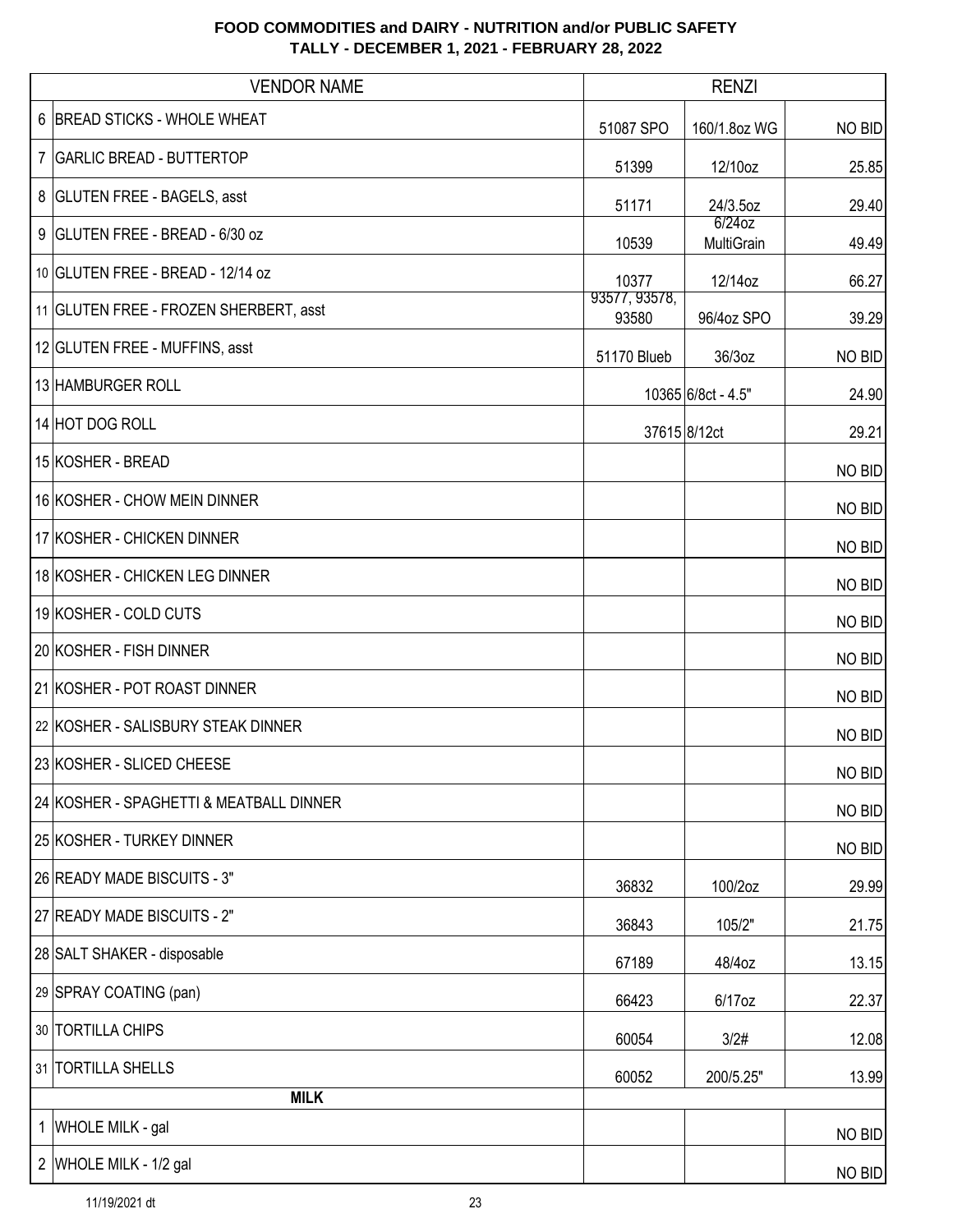| <b>VENDOR NAME</b>                      |                        | <b>RENZI</b>            |        |
|-----------------------------------------|------------------------|-------------------------|--------|
| 6 BREAD STICKS - WHOLE WHEAT            | 51087 SPO              | 160/1.8oz WG            | NO BID |
| 7   GARLIC BREAD - BUTTERTOP            | 51399                  | 12/10oz                 | 25.85  |
| 8 GLUTEN FREE - BAGELS, asst            | 51171                  | 24/3.5oz                | 29.40  |
| 9 GLUTEN FREE - BREAD - 6/30 oz         | 10539                  | $6/24$ oz<br>MultiGrain | 49.49  |
| 10 GLUTEN FREE - BREAD - 12/14 oz       | 10377                  | 12/14oz                 | 66.27  |
| 11 GLUTEN FREE - FROZEN SHERBERT, asst  | 93577, 93578,<br>93580 | 96/4oz SPO              | 39.29  |
| 12 GLUTEN FREE - MUFFINS, asst          | 51170 Blueb            | 36/3oz                  | NO BID |
| 13 HAMBURGER ROLL                       |                        | 10365 6/8ct - 4.5"      | 24.90  |
| 14 HOT DOG ROLL                         |                        | 37615 8/12ct            | 29.21  |
| 15 KOSHER - BREAD                       |                        |                         | NO BID |
| 16 KOSHER - CHOW MEIN DINNER            |                        |                         | NO BID |
| 17 KOSHER - CHICKEN DINNER              |                        |                         | NO BID |
| 18 KOSHER - CHICKEN LEG DINNER          |                        |                         | NO BID |
| 19 KOSHER - COLD CUTS                   |                        |                         | NO BID |
| 20 KOSHER - FISH DINNER                 |                        |                         | NO BID |
| 21 KOSHER - POT ROAST DINNER            |                        |                         | NO BID |
| 22 KOSHER - SALISBURY STEAK DINNER      |                        |                         | NO BID |
| 23 KOSHER - SLICED CHEESE               |                        |                         | NO BID |
| 24 KOSHER - SPAGHETTI & MEATBALL DINNER |                        |                         | NO BID |
| 25 KOSHER - TURKEY DINNER               |                        |                         | NO BID |
| 26 READY MADE BISCUITS - 3"             | 36832                  | 100/2oz                 | 29.99  |
| 27 READY MADE BISCUITS - 2"             | 36843                  | 105/2"                  | 21.75  |
| 28 SALT SHAKER - disposable             | 67189                  | 48/4oz                  | 13.15  |
| 29 SPRAY COATING (pan)                  | 66423                  | 6/17oz                  | 22.37  |
| 30 TORTILLA CHIPS                       | 60054                  | 3/2#                    | 12.08  |
| 31 TORTILLA SHELLS                      | 60052                  | 200/5.25"               | 13.99  |
| <b>MILK</b>                             |                        |                         |        |
| 1 WHOLE MILK - gal                      |                        |                         | NO BID |
| 2 WHOLE MILK - 1/2 gal                  |                        |                         | NO BID |